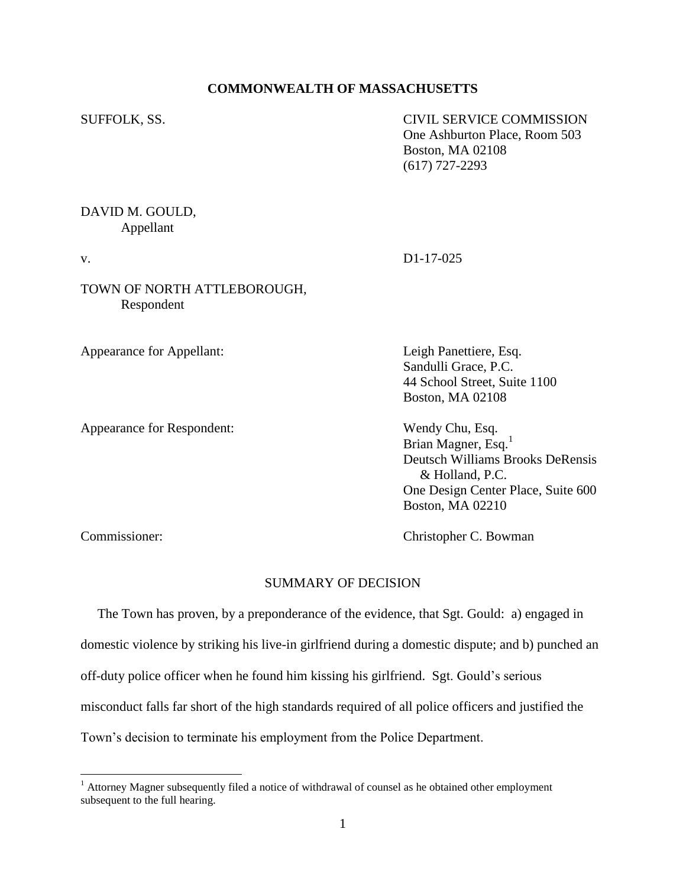### **COMMONWEALTH OF MASSACHUSETTS**

SUFFOLK, SS. CIVIL SERVICE COMMISSION One Ashburton Place, Room 503 Boston, MA 02108 (617) 727-2293

## DAVID M. GOULD, Appellant

# v. D1-17-025

## TOWN OF NORTH ATTLEBOROUGH, Respondent

Appearance for Appellant: Leigh Panettiere, Esq.

Appearance for Respondent: Wendy Chu, Esq.

Sandulli Grace, P.C. 44 School Street, Suite 1100 Boston, MA 02108

Brian Magner, Esq.<sup>1</sup> Deutsch Williams Brooks DeRensis & Holland, P.C. One Design Center Place, Suite 600 Boston, MA 02210

 $\overline{a}$ 

Commissioner: Christopher C. Bowman

### SUMMARY OF DECISION

 The Town has proven, by a preponderance of the evidence, that Sgt. Gould: a) engaged in domestic violence by striking his live-in girlfriend during a domestic dispute; and b) punched an off-duty police officer when he found him kissing his girlfriend. Sgt. Gould's serious misconduct falls far short of the high standards required of all police officers and justified the Town's decision to terminate his employment from the Police Department.

<sup>&</sup>lt;sup>1</sup> Attorney Magner subsequently filed a notice of withdrawal of counsel as he obtained other employment subsequent to the full hearing.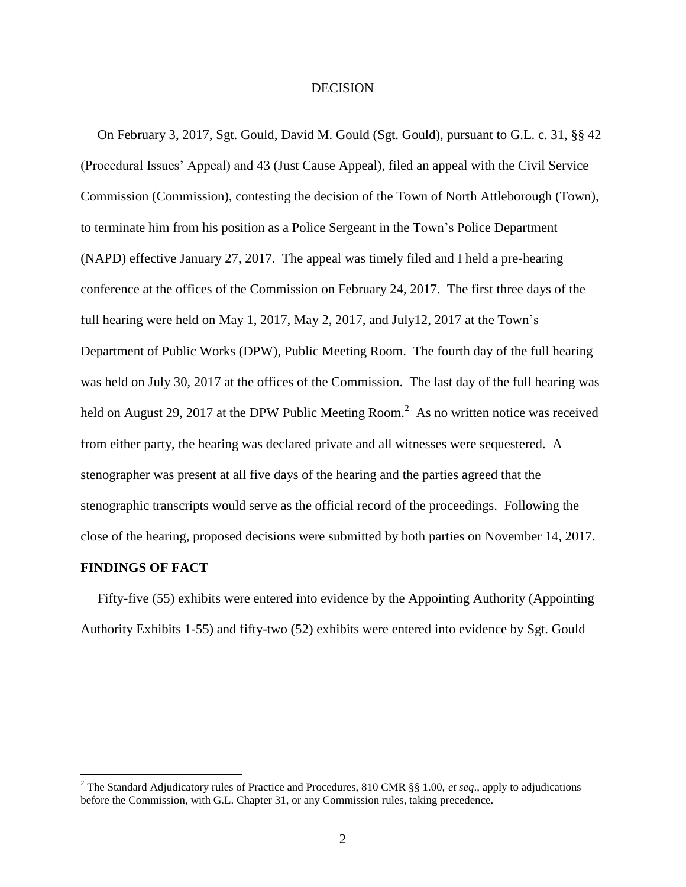#### **DECISION**

 On February 3, 2017, Sgt. Gould, David M. Gould (Sgt. Gould), pursuant to G.L. c. 31, §§ 42 (Procedural Issues' Appeal) and 43 (Just Cause Appeal), filed an appeal with the Civil Service Commission (Commission), contesting the decision of the Town of North Attleborough (Town), to terminate him from his position as a Police Sergeant in the Town's Police Department (NAPD) effective January 27, 2017. The appeal was timely filed and I held a pre-hearing conference at the offices of the Commission on February 24, 2017. The first three days of the full hearing were held on May 1, 2017, May 2, 2017, and July12, 2017 at the Town's Department of Public Works (DPW), Public Meeting Room. The fourth day of the full hearing was held on July 30, 2017 at the offices of the Commission. The last day of the full hearing was held on August 29, 2017 at the DPW Public Meeting Room.<sup>2</sup> As no written notice was received from either party, the hearing was declared private and all witnesses were sequestered. A stenographer was present at all five days of the hearing and the parties agreed that the stenographic transcripts would serve as the official record of the proceedings. Following the close of the hearing, proposed decisions were submitted by both parties on November 14, 2017.

### **FINDINGS OF FACT**

 $\overline{a}$ 

 Fifty-five (55) exhibits were entered into evidence by the Appointing Authority (Appointing Authority Exhibits 1-55) and fifty-two (52) exhibits were entered into evidence by Sgt. Gould

<sup>2</sup> The Standard Adjudicatory rules of Practice and Procedures, 810 CMR §§ 1.00, *et seq*., apply to adjudications before the Commission, with G.L. Chapter 31, or any Commission rules, taking precedence.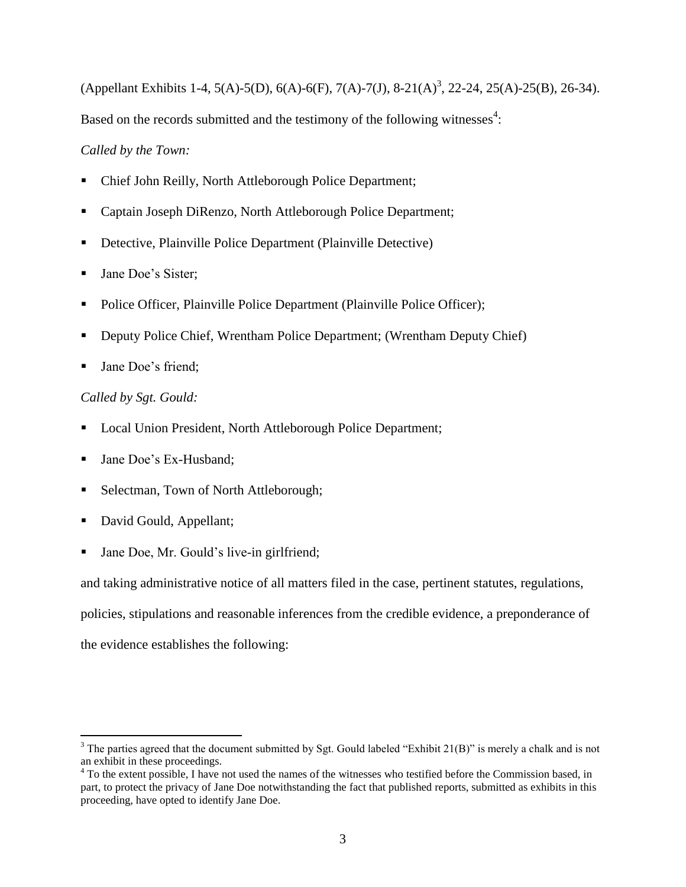(Appellant Exhibits 1-4, 5(A)-5(D), 6(A)-6(F), 7(A)-7(J), 8-21(A)<sup>3</sup>, 22-24, 25(A)-25(B), 26-34). Based on the records submitted and the testimony of the following witnesses $4$ :

# *Called by the Town:*

- Chief John Reilly, North Attleborough Police Department;
- Captain Joseph DiRenzo, North Attleborough Police Department;
- Detective, Plainville Police Department (Plainville Detective)
- **Jane Doe's Sister:**
- Police Officer, Plainville Police Department (Plainville Police Officer);
- Deputy Police Chief, Wrentham Police Department; (Wrentham Deputy Chief)
- Jane Doe's friend;

# *Called by Sgt. Gould:*

- Local Union President, North Attleborough Police Department;
- Jane Doe's Ex-Husband;
- Selectman, Town of North Attleborough;
- David Gould, Appellant;

 $\overline{a}$ 

Jane Doe, Mr. Gould's live-in girlfriend;

and taking administrative notice of all matters filed in the case, pertinent statutes, regulations,

policies, stipulations and reasonable inferences from the credible evidence, a preponderance of

the evidence establishes the following:

<sup>&</sup>lt;sup>3</sup> The parties agreed that the document submitted by Sgt. Gould labeled "Exhibit  $2I(B)$ " is merely a chalk and is not an exhibit in these proceedings.

<sup>&</sup>lt;sup>4</sup> To the extent possible, I have not used the names of the witnesses who testified before the Commission based, in part, to protect the privacy of Jane Doe notwithstanding the fact that published reports, submitted as exhibits in this proceeding, have opted to identify Jane Doe.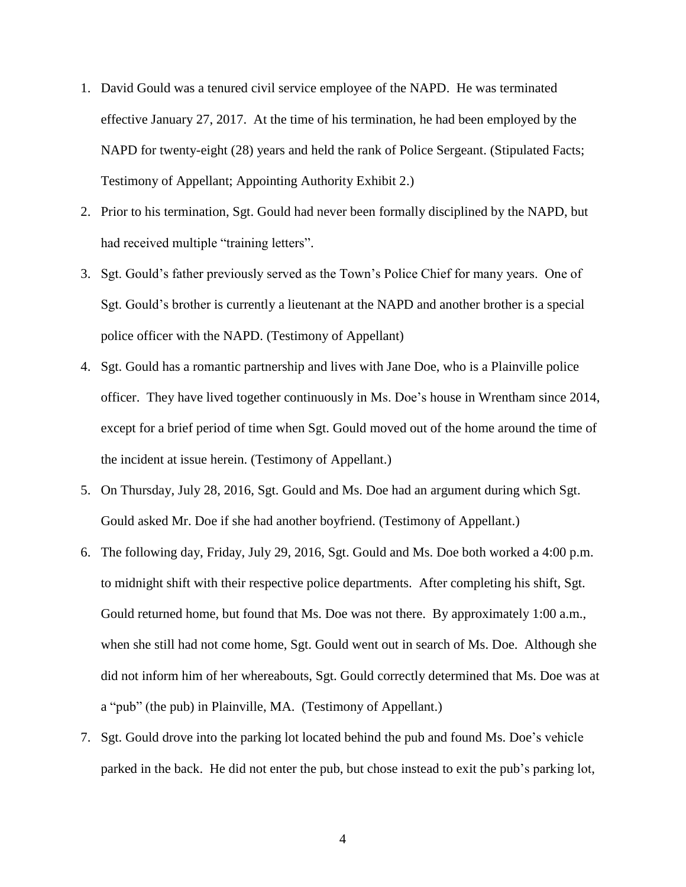- 1. David Gould was a tenured civil service employee of the NAPD. He was terminated effective January 27, 2017. At the time of his termination, he had been employed by the NAPD for twenty-eight (28) years and held the rank of Police Sergeant. (Stipulated Facts; Testimony of Appellant; Appointing Authority Exhibit 2.)
- 2. Prior to his termination, Sgt. Gould had never been formally disciplined by the NAPD, but had received multiple "training letters".
- 3. Sgt. Gould's father previously served as the Town's Police Chief for many years. One of Sgt. Gould's brother is currently a lieutenant at the NAPD and another brother is a special police officer with the NAPD. (Testimony of Appellant)
- 4. Sgt. Gould has a romantic partnership and lives with Jane Doe, who is a Plainville police officer. They have lived together continuously in Ms. Doe's house in Wrentham since 2014, except for a brief period of time when Sgt. Gould moved out of the home around the time of the incident at issue herein. (Testimony of Appellant.)
- 5. On Thursday, July 28, 2016, Sgt. Gould and Ms. Doe had an argument during which Sgt. Gould asked Mr. Doe if she had another boyfriend. (Testimony of Appellant.)
- 6. The following day, Friday, July 29, 2016, Sgt. Gould and Ms. Doe both worked a 4:00 p.m. to midnight shift with their respective police departments. After completing his shift, Sgt. Gould returned home, but found that Ms. Doe was not there. By approximately 1:00 a.m., when she still had not come home, Sgt. Gould went out in search of Ms. Doe. Although she did not inform him of her whereabouts, Sgt. Gould correctly determined that Ms. Doe was at a "pub" (the pub) in Plainville, MA. (Testimony of Appellant.)
- 7. Sgt. Gould drove into the parking lot located behind the pub and found Ms. Doe's vehicle parked in the back. He did not enter the pub, but chose instead to exit the pub's parking lot,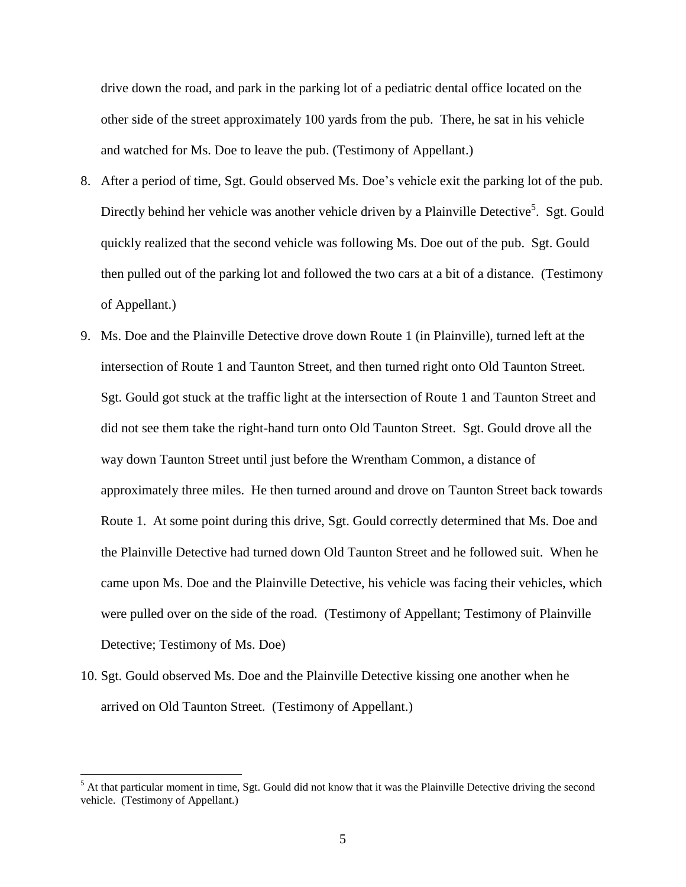drive down the road, and park in the parking lot of a pediatric dental office located on the other side of the street approximately 100 yards from the pub. There, he sat in his vehicle and watched for Ms. Doe to leave the pub. (Testimony of Appellant.)

- 8. After a period of time, Sgt. Gould observed Ms. Doe's vehicle exit the parking lot of the pub. Directly behind her vehicle was another vehicle driven by a Plainville Detective<sup>5</sup>. Sgt. Gould quickly realized that the second vehicle was following Ms. Doe out of the pub. Sgt. Gould then pulled out of the parking lot and followed the two cars at a bit of a distance. (Testimony of Appellant.)
- 9. Ms. Doe and the Plainville Detective drove down Route 1 (in Plainville), turned left at the intersection of Route 1 and Taunton Street, and then turned right onto Old Taunton Street. Sgt. Gould got stuck at the traffic light at the intersection of Route 1 and Taunton Street and did not see them take the right-hand turn onto Old Taunton Street. Sgt. Gould drove all the way down Taunton Street until just before the Wrentham Common, a distance of approximately three miles. He then turned around and drove on Taunton Street back towards Route 1. At some point during this drive, Sgt. Gould correctly determined that Ms. Doe and the Plainville Detective had turned down Old Taunton Street and he followed suit. When he came upon Ms. Doe and the Plainville Detective, his vehicle was facing their vehicles, which were pulled over on the side of the road. (Testimony of Appellant; Testimony of Plainville Detective; Testimony of Ms. Doe)
- 10. Sgt. Gould observed Ms. Doe and the Plainville Detective kissing one another when he arrived on Old Taunton Street. (Testimony of Appellant.)

<sup>&</sup>lt;sup>5</sup> At that particular moment in time, Sgt. Gould did not know that it was the Plainville Detective driving the second vehicle. (Testimony of Appellant.)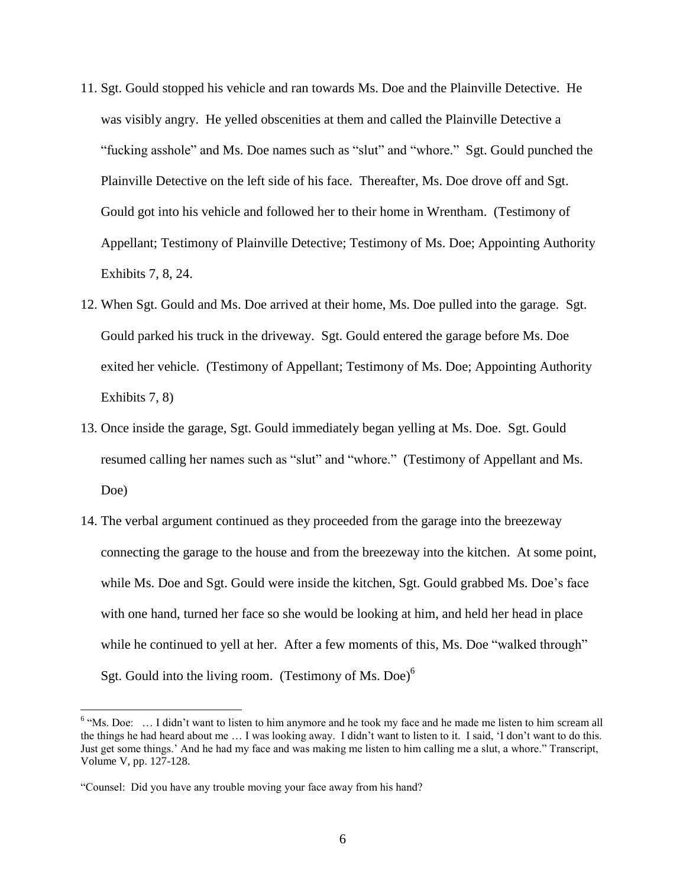- 11. Sgt. Gould stopped his vehicle and ran towards Ms. Doe and the Plainville Detective. He was visibly angry. He yelled obscenities at them and called the Plainville Detective a "fucking asshole" and Ms. Doe names such as "slut" and "whore." Sgt. Gould punched the Plainville Detective on the left side of his face. Thereafter, Ms. Doe drove off and Sgt. Gould got into his vehicle and followed her to their home in Wrentham. (Testimony of Appellant; Testimony of Plainville Detective; Testimony of Ms. Doe; Appointing Authority Exhibits 7, 8, 24.
- 12. When Sgt. Gould and Ms. Doe arrived at their home, Ms. Doe pulled into the garage. Sgt. Gould parked his truck in the driveway. Sgt. Gould entered the garage before Ms. Doe exited her vehicle. (Testimony of Appellant; Testimony of Ms. Doe; Appointing Authority Exhibits 7, 8)
- 13. Once inside the garage, Sgt. Gould immediately began yelling at Ms. Doe. Sgt. Gould resumed calling her names such as "slut" and "whore." (Testimony of Appellant and Ms. Doe)
- 14. The verbal argument continued as they proceeded from the garage into the breezeway connecting the garage to the house and from the breezeway into the kitchen. At some point, while Ms. Doe and Sgt. Gould were inside the kitchen, Sgt. Gould grabbed Ms. Doe's face with one hand, turned her face so she would be looking at him, and held her head in place while he continued to yell at her. After a few moments of this, Ms. Doe "walked through" Sgt. Gould into the living room. (Testimony of Ms. Doe) $<sup>6</sup>$ </sup>

 $6$  "Ms. Doe: ... I didn't want to listen to him anymore and he took my face and he made me listen to him scream all the things he had heard about me … I was looking away. I didn't want to listen to it. I said, 'I don't want to do this. Just get some things.' And he had my face and was making me listen to him calling me a slut, a whore." Transcript, Volume V, pp. 127-128.

<sup>&</sup>quot;Counsel: Did you have any trouble moving your face away from his hand?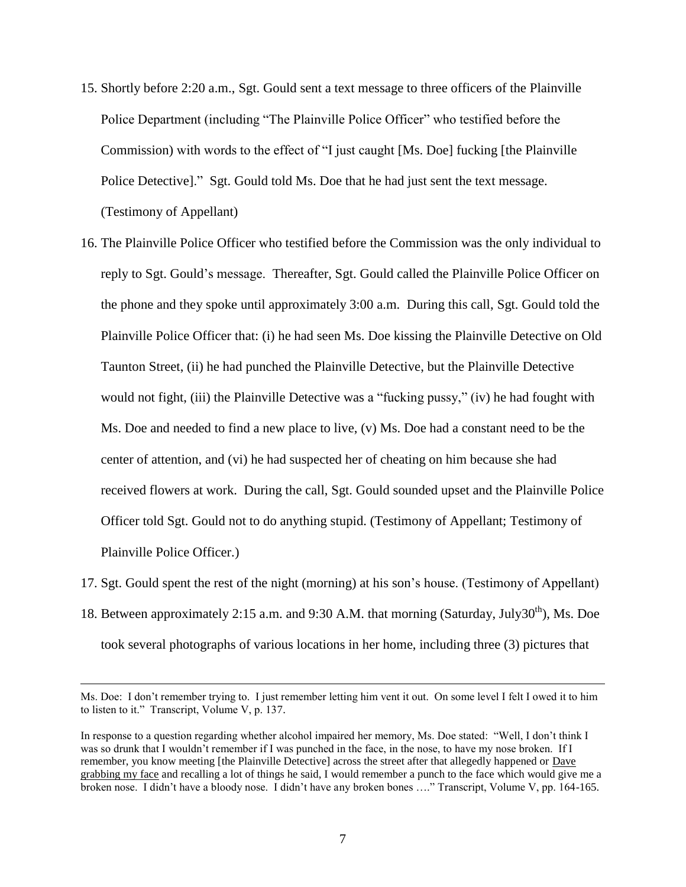- 15. Shortly before 2:20 a.m., Sgt. Gould sent a text message to three officers of the Plainville Police Department (including "The Plainville Police Officer" who testified before the Commission) with words to the effect of "I just caught [Ms. Doe] fucking [the Plainville Police Detective]." Sgt. Gould told Ms. Doe that he had just sent the text message. (Testimony of Appellant)
- 16. The Plainville Police Officer who testified before the Commission was the only individual to reply to Sgt. Gould's message. Thereafter, Sgt. Gould called the Plainville Police Officer on the phone and they spoke until approximately 3:00 a.m. During this call, Sgt. Gould told the Plainville Police Officer that: (i) he had seen Ms. Doe kissing the Plainville Detective on Old Taunton Street, (ii) he had punched the Plainville Detective, but the Plainville Detective would not fight, (iii) the Plainville Detective was a "fucking pussy," (iv) he had fought with Ms. Doe and needed to find a new place to live, (v) Ms. Doe had a constant need to be the center of attention, and (vi) he had suspected her of cheating on him because she had received flowers at work. During the call, Sgt. Gould sounded upset and the Plainville Police Officer told Sgt. Gould not to do anything stupid. (Testimony of Appellant; Testimony of Plainville Police Officer.)
- 17. Sgt. Gould spent the rest of the night (morning) at his son's house. (Testimony of Appellant) 18. Between approximately 2:15 a.m. and 9:30 A.M. that morning (Saturday, July30<sup>th</sup>), Ms. Doe took several photographs of various locations in her home, including three (3) pictures that

Ms. Doe: I don't remember trying to. I just remember letting him vent it out. On some level I felt I owed it to him to listen to it." Transcript, Volume V, p. 137.

In response to a question regarding whether alcohol impaired her memory, Ms. Doe stated: "Well, I don't think I was so drunk that I wouldn't remember if I was punched in the face, in the nose, to have my nose broken. If I remember, you know meeting [the Plainville Detective] across the street after that allegedly happened or Dave grabbing my face and recalling a lot of things he said, I would remember a punch to the face which would give me a broken nose. I didn't have a bloody nose. I didn't have any broken bones ...." Transcript, Volume V, pp. 164-165.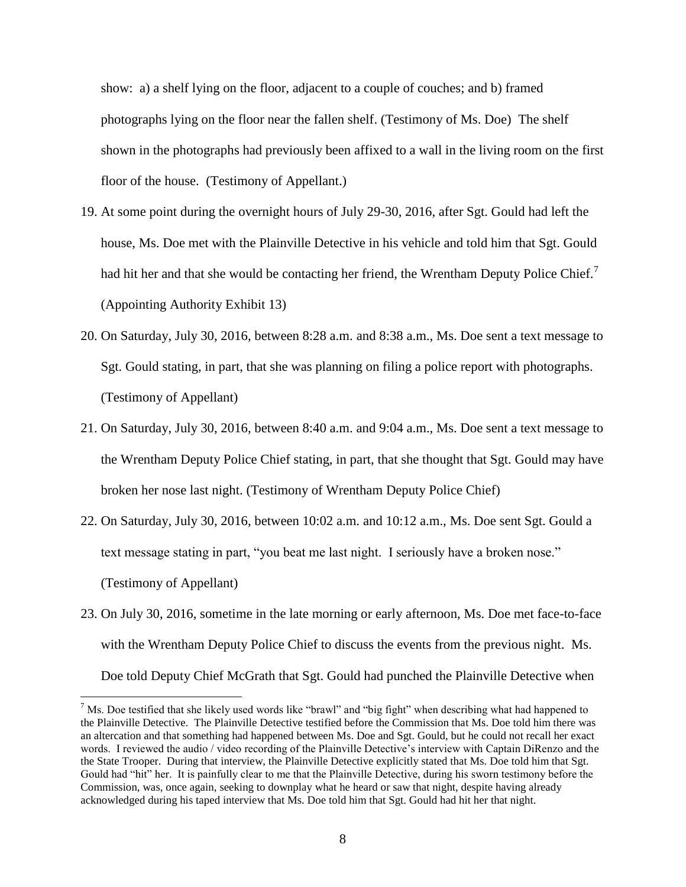show: a) a shelf lying on the floor, adjacent to a couple of couches; and b) framed photographs lying on the floor near the fallen shelf. (Testimony of Ms. Doe) The shelf shown in the photographs had previously been affixed to a wall in the living room on the first floor of the house. (Testimony of Appellant.)

- 19. At some point during the overnight hours of July 29-30, 2016, after Sgt. Gould had left the house, Ms. Doe met with the Plainville Detective in his vehicle and told him that Sgt. Gould had hit her and that she would be contacting her friend, the Wrentham Deputy Police Chief.<sup>7</sup> (Appointing Authority Exhibit 13)
- 20. On Saturday, July 30, 2016, between 8:28 a.m. and 8:38 a.m., Ms. Doe sent a text message to Sgt. Gould stating, in part, that she was planning on filing a police report with photographs. (Testimony of Appellant)
- 21. On Saturday, July 30, 2016, between 8:40 a.m. and 9:04 a.m., Ms. Doe sent a text message to the Wrentham Deputy Police Chief stating, in part, that she thought that Sgt. Gould may have broken her nose last night. (Testimony of Wrentham Deputy Police Chief)
- 22. On Saturday, July 30, 2016, between 10:02 a.m. and 10:12 a.m., Ms. Doe sent Sgt. Gould a text message stating in part, "you beat me last night. I seriously have a broken nose." (Testimony of Appellant)
- 23. On July 30, 2016, sometime in the late morning or early afternoon, Ms. Doe met face-to-face with the Wrentham Deputy Police Chief to discuss the events from the previous night. Ms. Doe told Deputy Chief McGrath that Sgt. Gould had punched the Plainville Detective when

 $<sup>7</sup>$  Ms. Doe testified that she likely used words like "brawl" and "big fight" when describing what had happened to</sup> the Plainville Detective. The Plainville Detective testified before the Commission that Ms. Doe told him there was an altercation and that something had happened between Ms. Doe and Sgt. Gould, but he could not recall her exact words. I reviewed the audio / video recording of the Plainville Detective's interview with Captain DiRenzo and the the State Trooper. During that interview, the Plainville Detective explicitly stated that Ms. Doe told him that Sgt. Gould had "hit" her. It is painfully clear to me that the Plainville Detective, during his sworn testimony before the Commission, was, once again, seeking to downplay what he heard or saw that night, despite having already acknowledged during his taped interview that Ms. Doe told him that Sgt. Gould had hit her that night.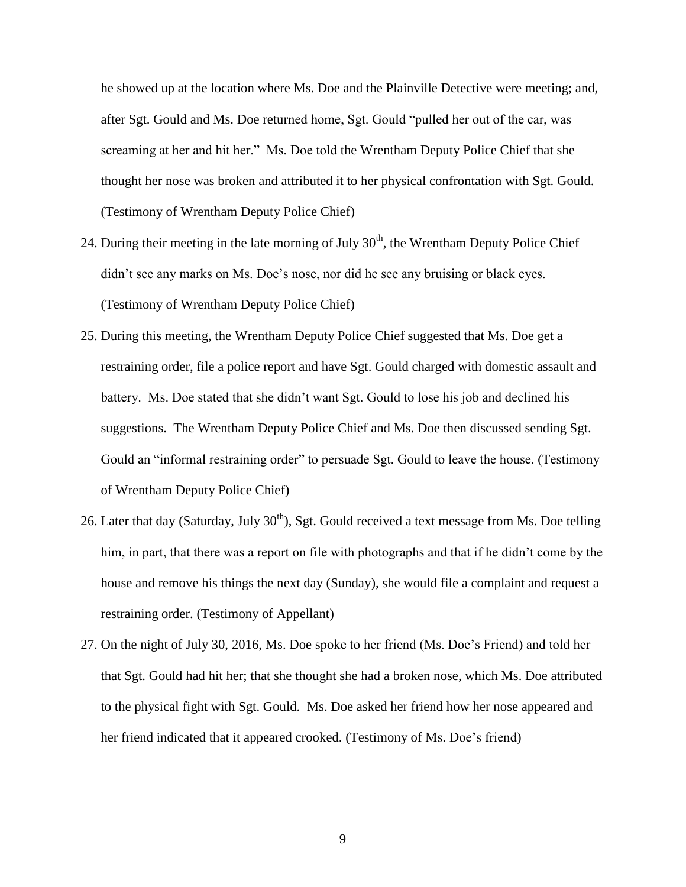he showed up at the location where Ms. Doe and the Plainville Detective were meeting; and, after Sgt. Gould and Ms. Doe returned home, Sgt. Gould "pulled her out of the car, was screaming at her and hit her." Ms. Doe told the Wrentham Deputy Police Chief that she thought her nose was broken and attributed it to her physical confrontation with Sgt. Gould. (Testimony of Wrentham Deputy Police Chief)

- 24. During their meeting in the late morning of July  $30<sup>th</sup>$ , the Wrentham Deputy Police Chief didn't see any marks on Ms. Doe's nose, nor did he see any bruising or black eyes. (Testimony of Wrentham Deputy Police Chief)
- 25. During this meeting, the Wrentham Deputy Police Chief suggested that Ms. Doe get a restraining order, file a police report and have Sgt. Gould charged with domestic assault and battery. Ms. Doe stated that she didn't want Sgt. Gould to lose his job and declined his suggestions. The Wrentham Deputy Police Chief and Ms. Doe then discussed sending Sgt. Gould an "informal restraining order" to persuade Sgt. Gould to leave the house. (Testimony of Wrentham Deputy Police Chief)
- 26. Later that day (Saturday, July  $30<sup>th</sup>$ ), Sgt. Gould received a text message from Ms. Doe telling him, in part, that there was a report on file with photographs and that if he didn't come by the house and remove his things the next day (Sunday), she would file a complaint and request a restraining order. (Testimony of Appellant)
- 27. On the night of July 30, 2016, Ms. Doe spoke to her friend (Ms. Doe's Friend) and told her that Sgt. Gould had hit her; that she thought she had a broken nose, which Ms. Doe attributed to the physical fight with Sgt. Gould. Ms. Doe asked her friend how her nose appeared and her friend indicated that it appeared crooked. (Testimony of Ms. Doe's friend)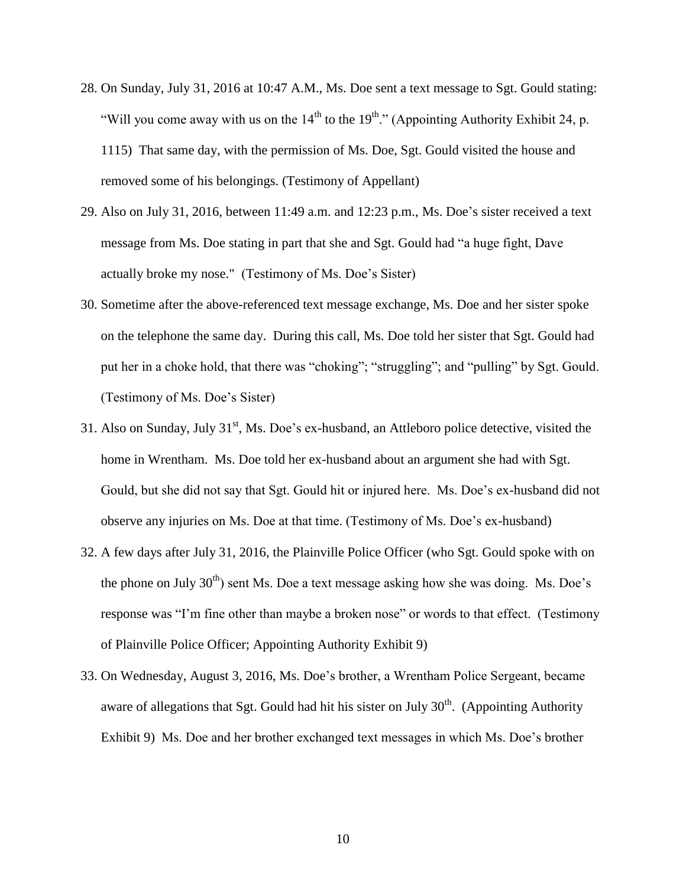- 28. On Sunday, July 31, 2016 at 10:47 A.M., Ms. Doe sent a text message to Sgt. Gould stating: "Will you come away with us on the  $14<sup>th</sup>$  to the  $19<sup>th</sup>$ ." (Appointing Authority Exhibit 24, p. 1115) That same day, with the permission of Ms. Doe, Sgt. Gould visited the house and removed some of his belongings. (Testimony of Appellant)
- 29. Also on July 31, 2016, between 11:49 a.m. and 12:23 p.m., Ms. Doe's sister received a text message from Ms. Doe stating in part that she and Sgt. Gould had "a huge fight, Dave actually broke my nose." (Testimony of Ms. Doe's Sister)
- 30. Sometime after the above-referenced text message exchange, Ms. Doe and her sister spoke on the telephone the same day. During this call, Ms. Doe told her sister that Sgt. Gould had put her in a choke hold, that there was "choking"; "struggling"; and "pulling" by Sgt. Gould. (Testimony of Ms. Doe's Sister)
- 31. Also on Sunday, July  $31<sup>st</sup>$ , Ms. Doe's ex-husband, an Attleboro police detective, visited the home in Wrentham. Ms. Doe told her ex-husband about an argument she had with Sgt. Gould, but she did not say that Sgt. Gould hit or injured here. Ms. Doe's ex-husband did not observe any injuries on Ms. Doe at that time. (Testimony of Ms. Doe's ex-husband)
- 32. A few days after July 31, 2016, the Plainville Police Officer (who Sgt. Gould spoke with on the phone on July  $30<sup>th</sup>$  sent Ms. Doe a text message asking how she was doing. Ms. Doe's response was "I'm fine other than maybe a broken nose" or words to that effect. (Testimony of Plainville Police Officer; Appointing Authority Exhibit 9)
- 33. On Wednesday, August 3, 2016, Ms. Doe's brother, a Wrentham Police Sergeant, became aware of allegations that Sgt. Gould had hit his sister on July  $30<sup>th</sup>$ . (Appointing Authority Exhibit 9) Ms. Doe and her brother exchanged text messages in which Ms. Doe's brother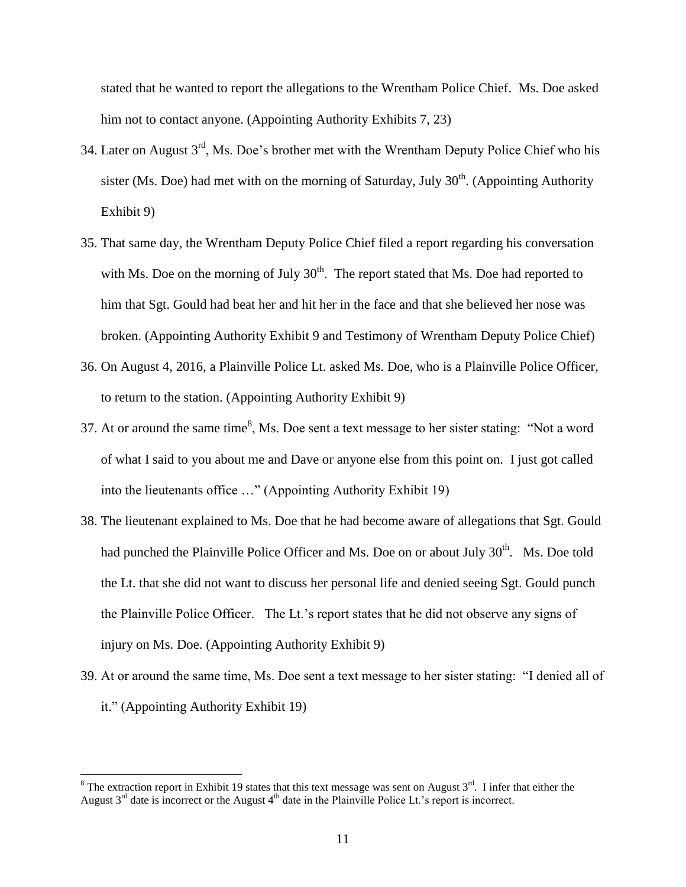stated that he wanted to report the allegations to the Wrentham Police Chief. Ms. Doe asked him not to contact anyone. (Appointing Authority Exhibits 7, 23)

- 34. Later on August 3rd, Ms. Doe's brother met with the Wrentham Deputy Police Chief who his sister (Ms. Doe) had met with on the morning of Saturday, July  $30<sup>th</sup>$ . (Appointing Authority Exhibit 9)
- 35. That same day, the Wrentham Deputy Police Chief filed a report regarding his conversation with Ms. Doe on the morning of July  $30<sup>th</sup>$ . The report stated that Ms. Doe had reported to him that Sgt. Gould had beat her and hit her in the face and that she believed her nose was broken. (Appointing Authority Exhibit 9 and Testimony of Wrentham Deputy Police Chief)
- 36. On August 4, 2016, a Plainville Police Lt. asked Ms. Doe, who is a Plainville Police Officer, to return to the station. (Appointing Authority Exhibit 9)
- 37. At or around the same time<sup>8</sup>, Ms. Doe sent a text message to her sister stating: "Not a word of what I said to you about me and Dave or anyone else from this point on. I just got called into the lieutenants office …" (Appointing Authority Exhibit 19)
- 38. The lieutenant explained to Ms. Doe that he had become aware of allegations that Sgt. Gould had punched the Plainville Police Officer and Ms. Doe on or about July 30<sup>th</sup>. Ms. Doe told the Lt. that she did not want to discuss her personal life and denied seeing Sgt. Gould punch the Plainville Police Officer. The Lt.'s report states that he did not observe any signs of injury on Ms. Doe. (Appointing Authority Exhibit 9)
- 39. At or around the same time, Ms. Doe sent a text message to her sister stating: "I denied all of it." (Appointing Authority Exhibit 19)

<sup>&</sup>lt;sup>8</sup> The extraction report in Exhibit 19 states that this text message was sent on August  $3^{rd}$ . I infer that either the August  $3<sup>rd</sup>$  date is incorrect or the August  $4<sup>th</sup>$  date in the Plainville Police Lt.'s report is incorrect.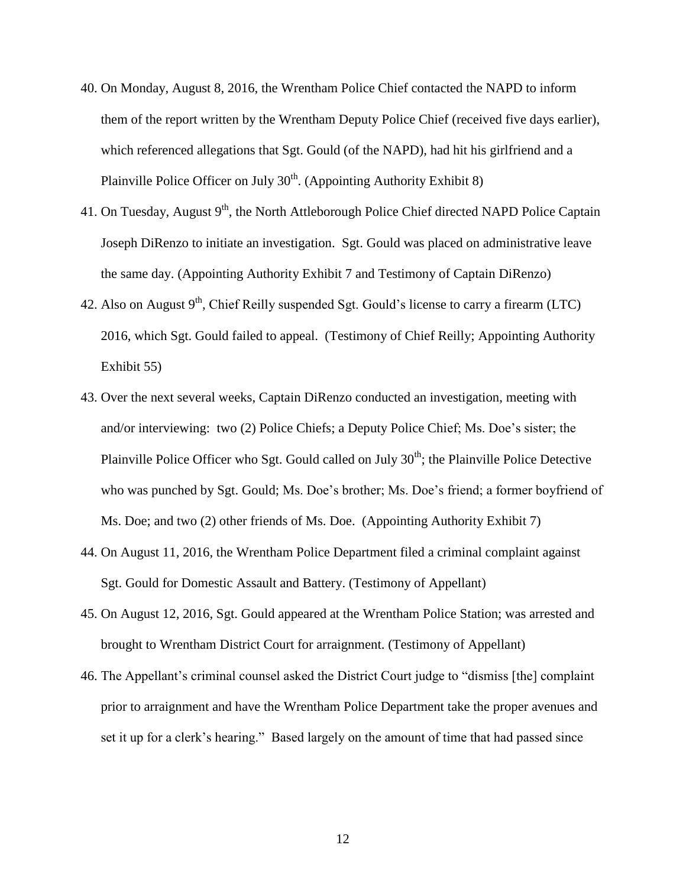- 40. On Monday, August 8, 2016, the Wrentham Police Chief contacted the NAPD to inform them of the report written by the Wrentham Deputy Police Chief (received five days earlier), which referenced allegations that Sgt. Gould (of the NAPD), had hit his girlfriend and a Plainville Police Officer on July 30<sup>th</sup>. (Appointing Authority Exhibit 8)
- 41. On Tuesday, August  $9<sup>th</sup>$ , the North Attleborough Police Chief directed NAPD Police Captain Joseph DiRenzo to initiate an investigation. Sgt. Gould was placed on administrative leave the same day. (Appointing Authority Exhibit 7 and Testimony of Captain DiRenzo)
- 42. Also on August  $9<sup>th</sup>$ , Chief Reilly suspended Sgt. Gould's license to carry a firearm (LTC) 2016, which Sgt. Gould failed to appeal. (Testimony of Chief Reilly; Appointing Authority Exhibit 55)
- 43. Over the next several weeks, Captain DiRenzo conducted an investigation, meeting with and/or interviewing: two (2) Police Chiefs; a Deputy Police Chief; Ms. Doe's sister; the Plainville Police Officer who Sgt. Gould called on July  $30<sup>th</sup>$ ; the Plainville Police Detective who was punched by Sgt. Gould; Ms. Doe's brother; Ms. Doe's friend; a former boyfriend of Ms. Doe; and two (2) other friends of Ms. Doe. (Appointing Authority Exhibit 7)
- 44. On August 11, 2016, the Wrentham Police Department filed a criminal complaint against Sgt. Gould for Domestic Assault and Battery. (Testimony of Appellant)
- 45. On August 12, 2016, Sgt. Gould appeared at the Wrentham Police Station; was arrested and brought to Wrentham District Court for arraignment. (Testimony of Appellant)
- 46. The Appellant's criminal counsel asked the District Court judge to "dismiss [the] complaint prior to arraignment and have the Wrentham Police Department take the proper avenues and set it up for a clerk's hearing." Based largely on the amount of time that had passed since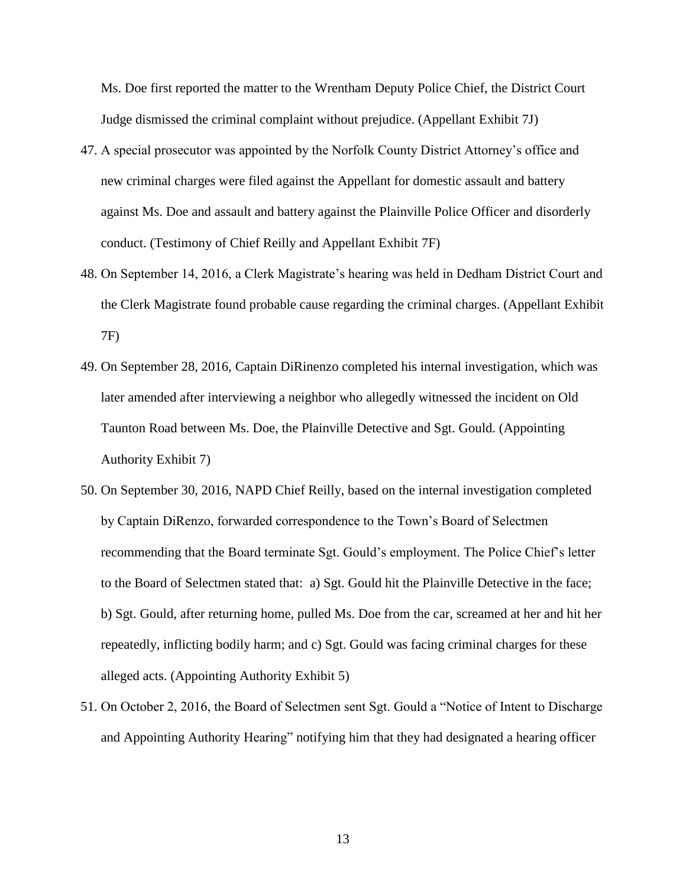Ms. Doe first reported the matter to the Wrentham Deputy Police Chief, the District Court Judge dismissed the criminal complaint without prejudice. (Appellant Exhibit 7J)

- 47. A special prosecutor was appointed by the Norfolk County District Attorney's office and new criminal charges were filed against the Appellant for domestic assault and battery against Ms. Doe and assault and battery against the Plainville Police Officer and disorderly conduct. (Testimony of Chief Reilly and Appellant Exhibit 7F)
- 48. On September 14, 2016, a Clerk Magistrate's hearing was held in Dedham District Court and the Clerk Magistrate found probable cause regarding the criminal charges. (Appellant Exhibit 7F)
- 49. On September 28, 2016, Captain DiRinenzo completed his internal investigation, which was later amended after interviewing a neighbor who allegedly witnessed the incident on Old Taunton Road between Ms. Doe, the Plainville Detective and Sgt. Gould. (Appointing Authority Exhibit 7)
- 50. On September 30, 2016, NAPD Chief Reilly, based on the internal investigation completed by Captain DiRenzo, forwarded correspondence to the Town's Board of Selectmen recommending that the Board terminate Sgt. Gould's employment. The Police Chief's letter to the Board of Selectmen stated that: a) Sgt. Gould hit the Plainville Detective in the face; b) Sgt. Gould, after returning home, pulled Ms. Doe from the car, screamed at her and hit her repeatedly, inflicting bodily harm; and c) Sgt. Gould was facing criminal charges for these alleged acts. (Appointing Authority Exhibit 5)
- 51. On October 2, 2016, the Board of Selectmen sent Sgt. Gould a "Notice of Intent to Discharge and Appointing Authority Hearing" notifying him that they had designated a hearing officer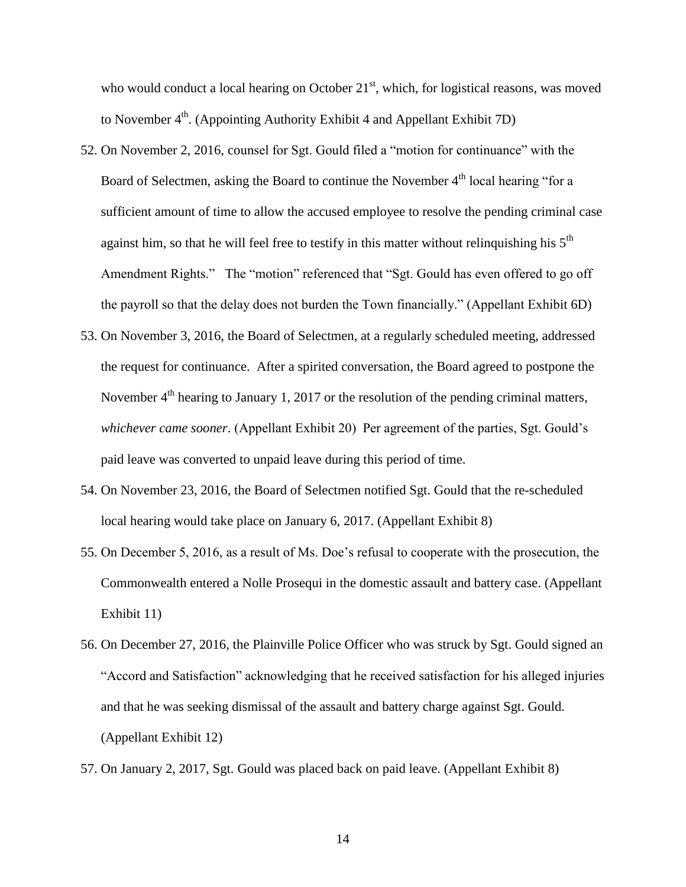who would conduct a local hearing on October  $21<sup>st</sup>$ , which, for logistical reasons, was moved to November 4<sup>th</sup>. (Appointing Authority Exhibit 4 and Appellant Exhibit 7D)

- 52. On November 2, 2016, counsel for Sgt. Gould filed a "motion for continuance" with the Board of Selectmen, asking the Board to continue the November  $4<sup>th</sup>$  local hearing "for a sufficient amount of time to allow the accused employee to resolve the pending criminal case against him, so that he will feel free to testify in this matter without relinquishing his  $5<sup>th</sup>$ Amendment Rights." The "motion" referenced that "Sgt. Gould has even offered to go off the payroll so that the delay does not burden the Town financially." (Appellant Exhibit 6D)
- 53. On November 3, 2016, the Board of Selectmen, at a regularly scheduled meeting, addressed the request for continuance. After a spirited conversation, the Board agreed to postpone the November 4<sup>th</sup> hearing to January 1, 2017 or the resolution of the pending criminal matters, *whichever came sooner*. (Appellant Exhibit 20) Per agreement of the parties, Sgt. Gould's paid leave was converted to unpaid leave during this period of time.
- 54. On November 23, 2016, the Board of Selectmen notified Sgt. Gould that the re-scheduled local hearing would take place on January 6, 2017. (Appellant Exhibit 8)
- 55. On December 5, 2016, as a result of Ms. Doe's refusal to cooperate with the prosecution, the Commonwealth entered a Nolle Prosequi in the domestic assault and battery case. (Appellant Exhibit 11)
- 56. On December 27, 2016, the Plainville Police Officer who was struck by Sgt. Gould signed an "Accord and Satisfaction" acknowledging that he received satisfaction for his alleged injuries and that he was seeking dismissal of the assault and battery charge against Sgt. Gould. (Appellant Exhibit 12)
- 57. On January 2, 2017, Sgt. Gould was placed back on paid leave. (Appellant Exhibit 8)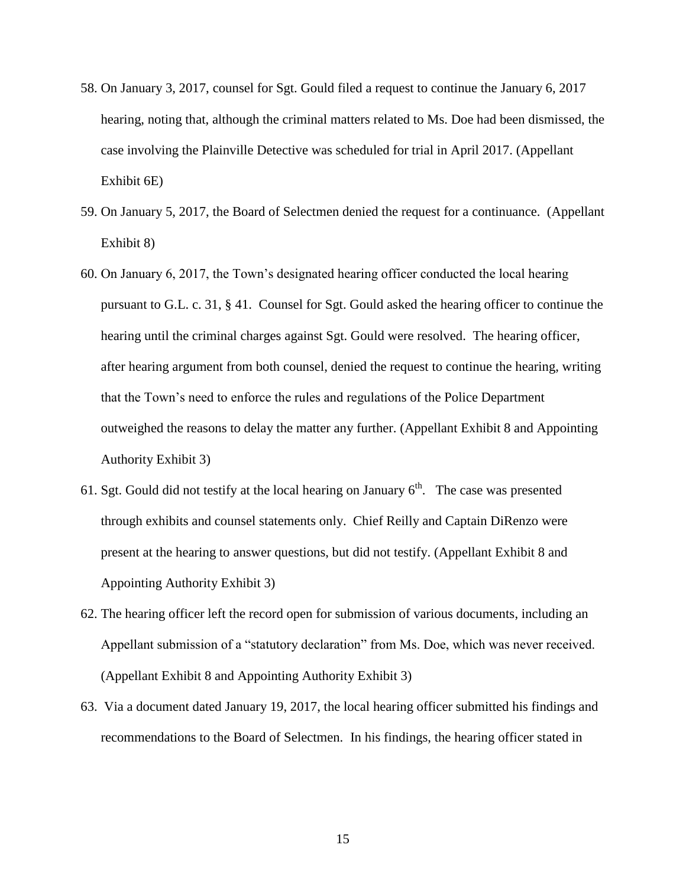- 58. On January 3, 2017, counsel for Sgt. Gould filed a request to continue the January 6, 2017 hearing, noting that, although the criminal matters related to Ms. Doe had been dismissed, the case involving the Plainville Detective was scheduled for trial in April 2017. (Appellant Exhibit 6E)
- 59. On January 5, 2017, the Board of Selectmen denied the request for a continuance. (Appellant Exhibit 8)
- 60. On January 6, 2017, the Town's designated hearing officer conducted the local hearing pursuant to G.L. c. 31, § 41. Counsel for Sgt. Gould asked the hearing officer to continue the hearing until the criminal charges against Sgt. Gould were resolved. The hearing officer, after hearing argument from both counsel, denied the request to continue the hearing, writing that the Town's need to enforce the rules and regulations of the Police Department outweighed the reasons to delay the matter any further. (Appellant Exhibit 8 and Appointing Authority Exhibit 3)
- 61. Sgt. Gould did not testify at the local hearing on January  $6<sup>th</sup>$ . The case was presented through exhibits and counsel statements only. Chief Reilly and Captain DiRenzo were present at the hearing to answer questions, but did not testify. (Appellant Exhibit 8 and Appointing Authority Exhibit 3)
- 62. The hearing officer left the record open for submission of various documents, including an Appellant submission of a "statutory declaration" from Ms. Doe, which was never received. (Appellant Exhibit 8 and Appointing Authority Exhibit 3)
- 63. Via a document dated January 19, 2017, the local hearing officer submitted his findings and recommendations to the Board of Selectmen. In his findings, the hearing officer stated in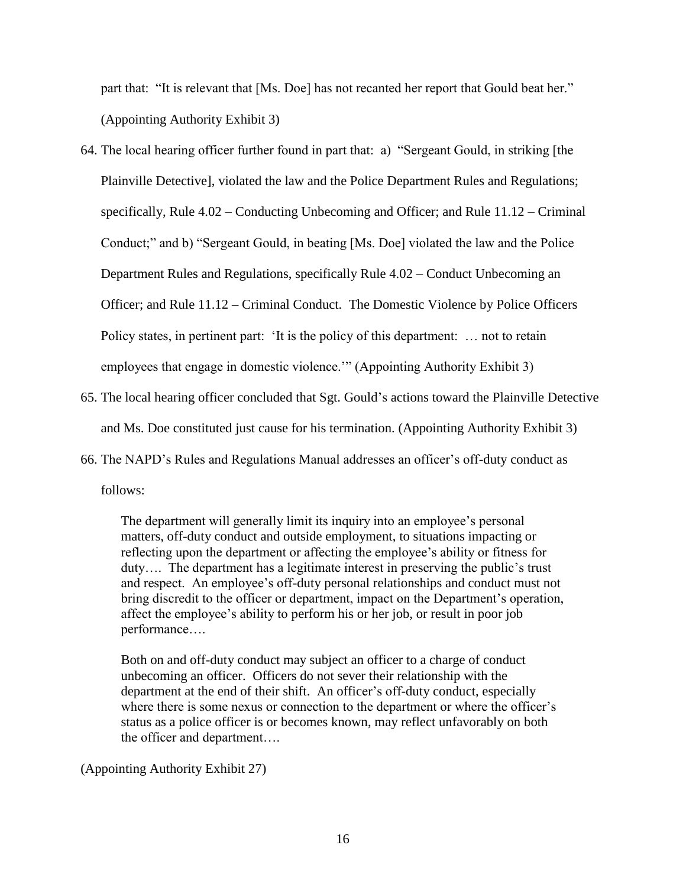part that: "It is relevant that [Ms. Doe] has not recanted her report that Gould beat her." (Appointing Authority Exhibit 3)

- 64. The local hearing officer further found in part that: a) "Sergeant Gould, in striking [the Plainville Detective], violated the law and the Police Department Rules and Regulations; specifically, Rule 4.02 – Conducting Unbecoming and Officer; and Rule 11.12 – Criminal Conduct;" and b) "Sergeant Gould, in beating [Ms. Doe] violated the law and the Police Department Rules and Regulations, specifically Rule 4.02 – Conduct Unbecoming an Officer; and Rule 11.12 – Criminal Conduct. The Domestic Violence by Police Officers Policy states, in pertinent part: 'It is the policy of this department: ... not to retain employees that engage in domestic violence.'" (Appointing Authority Exhibit 3)
- 65. The local hearing officer concluded that Sgt. Gould's actions toward the Plainville Detective and Ms. Doe constituted just cause for his termination. (Appointing Authority Exhibit 3)
- 66. The NAPD's Rules and Regulations Manual addresses an officer's off-duty conduct as follows:

The department will generally limit its inquiry into an employee's personal matters, off-duty conduct and outside employment, to situations impacting or reflecting upon the department or affecting the employee's ability or fitness for duty…. The department has a legitimate interest in preserving the public's trust and respect. An employee's off-duty personal relationships and conduct must not bring discredit to the officer or department, impact on the Department's operation, affect the employee's ability to perform his or her job, or result in poor job performance….

Both on and off-duty conduct may subject an officer to a charge of conduct unbecoming an officer. Officers do not sever their relationship with the department at the end of their shift. An officer's off-duty conduct, especially where there is some nexus or connection to the department or where the officer's status as a police officer is or becomes known, may reflect unfavorably on both the officer and department….

(Appointing Authority Exhibit 27)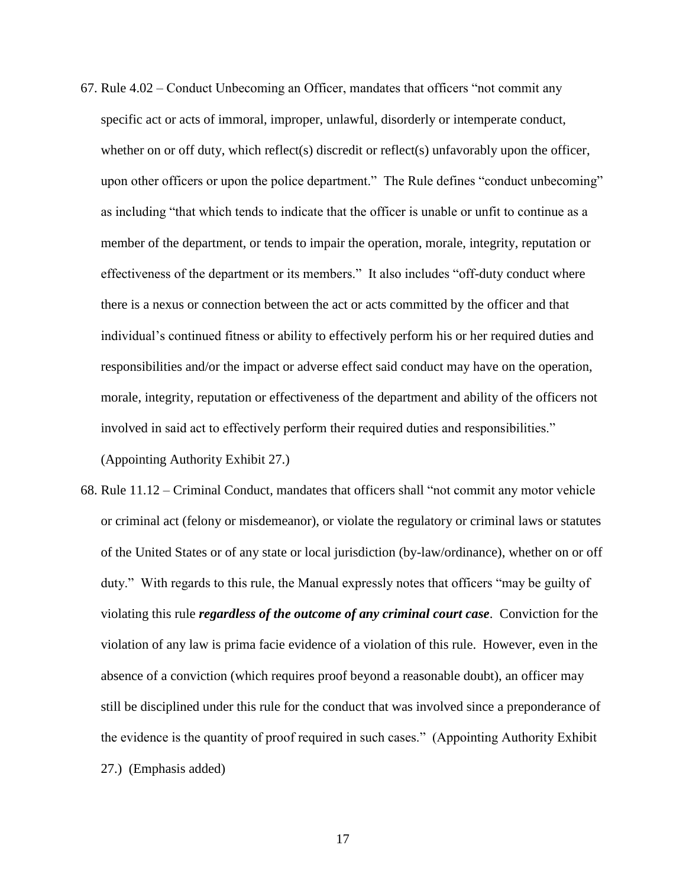- 67. Rule 4.02 Conduct Unbecoming an Officer, mandates that officers "not commit any specific act or acts of immoral, improper, unlawful, disorderly or intemperate conduct, whether on or off duty, which reflect(s) discredit or reflect(s) unfavorably upon the officer, upon other officers or upon the police department." The Rule defines "conduct unbecoming" as including "that which tends to indicate that the officer is unable or unfit to continue as a member of the department, or tends to impair the operation, morale, integrity, reputation or effectiveness of the department or its members." It also includes "off-duty conduct where there is a nexus or connection between the act or acts committed by the officer and that individual's continued fitness or ability to effectively perform his or her required duties and responsibilities and/or the impact or adverse effect said conduct may have on the operation, morale, integrity, reputation or effectiveness of the department and ability of the officers not involved in said act to effectively perform their required duties and responsibilities." (Appointing Authority Exhibit 27.)
- 68. Rule 11.12 Criminal Conduct, mandates that officers shall "not commit any motor vehicle or criminal act (felony or misdemeanor), or violate the regulatory or criminal laws or statutes of the United States or of any state or local jurisdiction (by-law/ordinance), whether on or off duty." With regards to this rule, the Manual expressly notes that officers "may be guilty of violating this rule *regardless of the outcome of any criminal court case*. Conviction for the violation of any law is prima facie evidence of a violation of this rule. However, even in the absence of a conviction (which requires proof beyond a reasonable doubt), an officer may still be disciplined under this rule for the conduct that was involved since a preponderance of the evidence is the quantity of proof required in such cases." (Appointing Authority Exhibit 27.) (Emphasis added)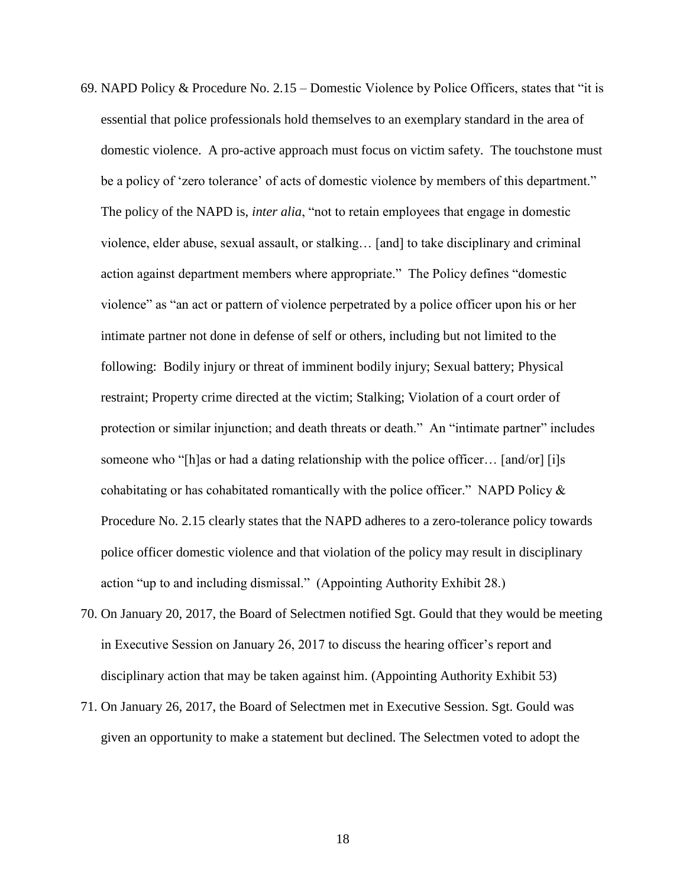- 69. NAPD Policy & Procedure No. 2.15 Domestic Violence by Police Officers, states that "it is essential that police professionals hold themselves to an exemplary standard in the area of domestic violence. A pro-active approach must focus on victim safety. The touchstone must be a policy of 'zero tolerance' of acts of domestic violence by members of this department." The policy of the NAPD is, *inter alia*, "not to retain employees that engage in domestic violence, elder abuse, sexual assault, or stalking… [and] to take disciplinary and criminal action against department members where appropriate." The Policy defines "domestic violence" as "an act or pattern of violence perpetrated by a police officer upon his or her intimate partner not done in defense of self or others, including but not limited to the following: Bodily injury or threat of imminent bodily injury; Sexual battery; Physical restraint; Property crime directed at the victim; Stalking; Violation of a court order of protection or similar injunction; and death threats or death." An "intimate partner" includes someone who "[h]as or had a dating relationship with the police officer... [and/or] [i]s cohabitating or has cohabitated romantically with the police officer." NAPD Policy  $\&$ Procedure No. 2.15 clearly states that the NAPD adheres to a zero-tolerance policy towards police officer domestic violence and that violation of the policy may result in disciplinary action "up to and including dismissal." (Appointing Authority Exhibit 28.)
- 70. On January 20, 2017, the Board of Selectmen notified Sgt. Gould that they would be meeting in Executive Session on January 26, 2017 to discuss the hearing officer's report and disciplinary action that may be taken against him. (Appointing Authority Exhibit 53)
- 71. On January 26, 2017, the Board of Selectmen met in Executive Session. Sgt. Gould was given an opportunity to make a statement but declined. The Selectmen voted to adopt the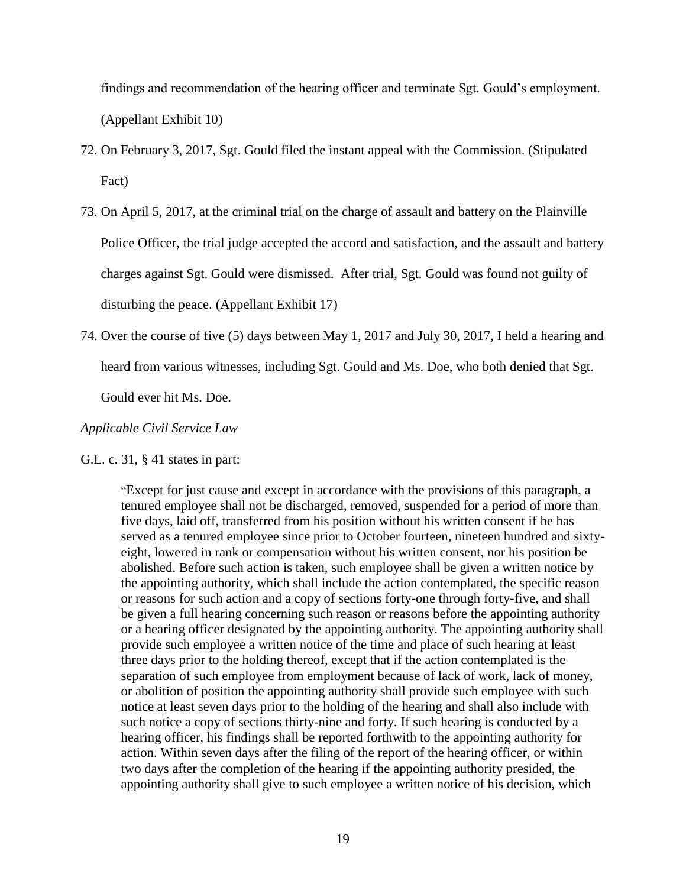findings and recommendation of the hearing officer and terminate Sgt. Gould's employment. (Appellant Exhibit 10)

- 72. On February 3, 2017, Sgt. Gould filed the instant appeal with the Commission. (Stipulated Fact)
- 73. On April 5, 2017, at the criminal trial on the charge of assault and battery on the Plainville Police Officer, the trial judge accepted the accord and satisfaction, and the assault and battery charges against Sgt. Gould were dismissed. After trial, Sgt. Gould was found not guilty of disturbing the peace. (Appellant Exhibit 17)
- 74. Over the course of five (5) days between May 1, 2017 and July 30, 2017, I held a hearing and heard from various witnesses, including Sgt. Gould and Ms. Doe, who both denied that Sgt.

Gould ever hit Ms. Doe.

# *Applicable Civil Service Law*

G.L. c. 31, § 41 states in part:

"Except for just cause and except in accordance with the provisions of this paragraph, a tenured employee shall not be discharged, removed, suspended for a period of more than five days, laid off, transferred from his position without his written consent if he has served as a tenured employee since prior to October fourteen, nineteen hundred and sixtyeight, lowered in rank or compensation without his written consent, nor his position be abolished. Before such action is taken, such employee shall be given a written notice by the appointing authority, which shall include the action contemplated, the specific reason or reasons for such action and a copy of sections forty-one through forty-five, and shall be given a full hearing concerning such reason or reasons before the appointing authority or a hearing officer designated by the appointing authority. The appointing authority shall provide such employee a written notice of the time and place of such hearing at least three days prior to the holding thereof, except that if the action contemplated is the separation of such employee from employment because of lack of work, lack of money, or abolition of position the appointing authority shall provide such employee with such notice at least seven days prior to the holding of the hearing and shall also include with such notice a copy of sections thirty-nine and forty. If such hearing is conducted by a hearing officer, his findings shall be reported forthwith to the appointing authority for action. Within seven days after the filing of the report of the hearing officer, or within two days after the completion of the hearing if the appointing authority presided, the appointing authority shall give to such employee a written notice of his decision, which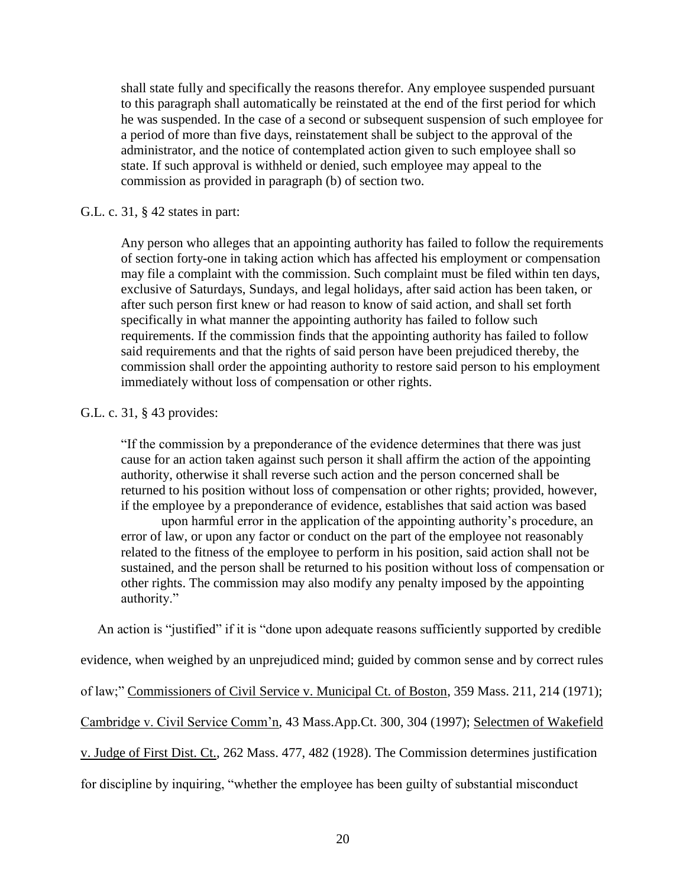shall state fully and specifically the reasons therefor. Any employee suspended pursuant to this paragraph shall automatically be reinstated at the end of the first period for which he was suspended. In the case of a second or subsequent suspension of such employee for a period of more than five days, reinstatement shall be subject to the approval of the administrator, and the notice of contemplated action given to such employee shall so state. If such approval is withheld or denied, such employee may appeal to the commission as provided in paragraph (b) of section two.

### G.L. c. 31, § 42 states in part:

Any person who alleges that an appointing authority has failed to follow the requirements of section forty-one in taking action which has affected his employment or compensation may file a complaint with the commission. Such complaint must be filed within ten days, exclusive of Saturdays, Sundays, and legal holidays, after said action has been taken, or after such person first knew or had reason to know of said action, and shall set forth specifically in what manner the appointing authority has failed to follow such requirements. If the commission finds that the appointing authority has failed to follow said requirements and that the rights of said person have been prejudiced thereby, the commission shall order the appointing authority to restore said person to his employment immediately without loss of compensation or other rights.

# G.L. c. 31, § 43 provides:

"If the commission by a preponderance of the evidence determines that there was just cause for an action taken against such person it shall affirm the action of the appointing authority, otherwise it shall reverse such action and the person concerned shall be returned to his position without loss of compensation or other rights; provided, however, if the employee by a preponderance of evidence, establishes that said action was based

upon harmful error in the application of the appointing authority's procedure, an error of law, or upon any factor or conduct on the part of the employee not reasonably related to the fitness of the employee to perform in his position, said action shall not be sustained, and the person shall be returned to his position without loss of compensation or other rights. The commission may also modify any penalty imposed by the appointing authority."

An action is "justified" if it is "done upon adequate reasons sufficiently supported by credible

evidence, when weighed by an unprejudiced mind; guided by common sense and by correct rules

of law;" Commissioners of Civil Service v. Municipal Ct. of Boston, 359 Mass. 211, 214 (1971);

Cambridge v. Civil Service Comm'n, 43 Mass.App.Ct. 300, 304 (1997); Selectmen of Wakefield

v. Judge of First Dist. Ct., 262 Mass. 477, 482 (1928). The Commission determines justification

for discipline by inquiring, "whether the employee has been guilty of substantial misconduct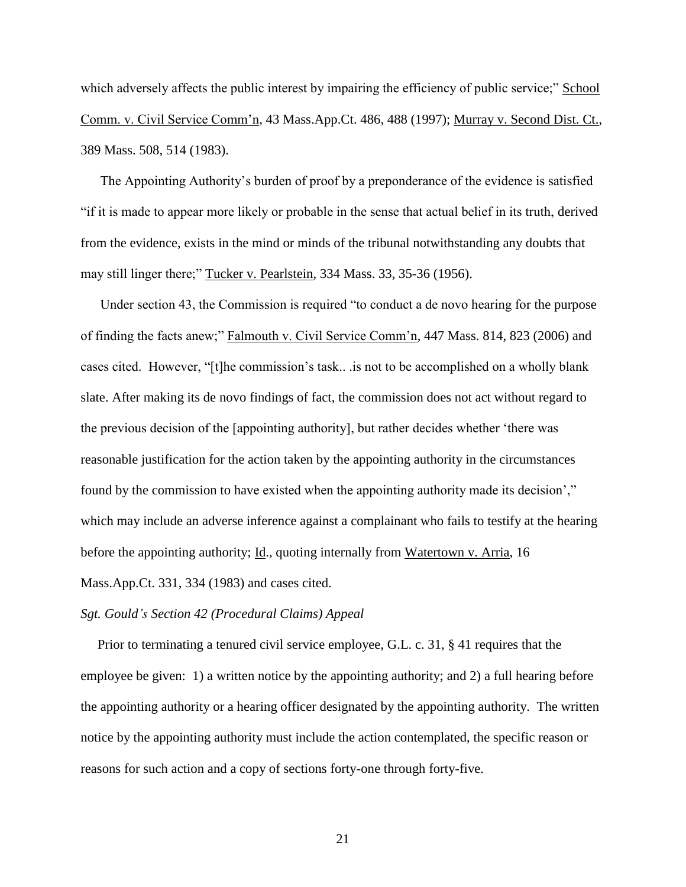which adversely affects the public interest by impairing the efficiency of public service;" School Comm. v. Civil Service Comm'n, 43 Mass.App.Ct. 486, 488 (1997); Murray v. Second Dist. Ct., 389 Mass. 508, 514 (1983).

The Appointing Authority's burden of proof by a preponderance of the evidence is satisfied "if it is made to appear more likely or probable in the sense that actual belief in its truth, derived from the evidence, exists in the mind or minds of the tribunal notwithstanding any doubts that may still linger there;" Tucker v. Pearlstein, 334 Mass. 33, 35-36 (1956).

Under section 43, the Commission is required "to conduct a de novo hearing for the purpose of finding the facts anew;" Falmouth v. Civil Service Comm'n, 447 Mass. 814, 823 (2006) and cases cited. However, "[t]he commission's task.. .is not to be accomplished on a wholly blank slate. After making its de novo findings of fact, the commission does not act without regard to the previous decision of the [appointing authority], but rather decides whether 'there was reasonable justification for the action taken by the appointing authority in the circumstances found by the commission to have existed when the appointing authority made its decision'," which may include an adverse inference against a complainant who fails to testify at the hearing before the appointing authority; Id., quoting internally from Watertown v. Arria, 16 Mass.App.Ct. 331, 334 (1983) and cases cited.

### *Sgt. Gould's Section 42 (Procedural Claims) Appeal*

 Prior to terminating a tenured civil service employee, G.L. c. 31, § 41 requires that the employee be given: 1) a written notice by the appointing authority; and 2) a full hearing before the appointing authority or a hearing officer designated by the appointing authority. The written notice by the appointing authority must include the action contemplated, the specific reason or reasons for such action and a copy of sections forty-one through forty-five.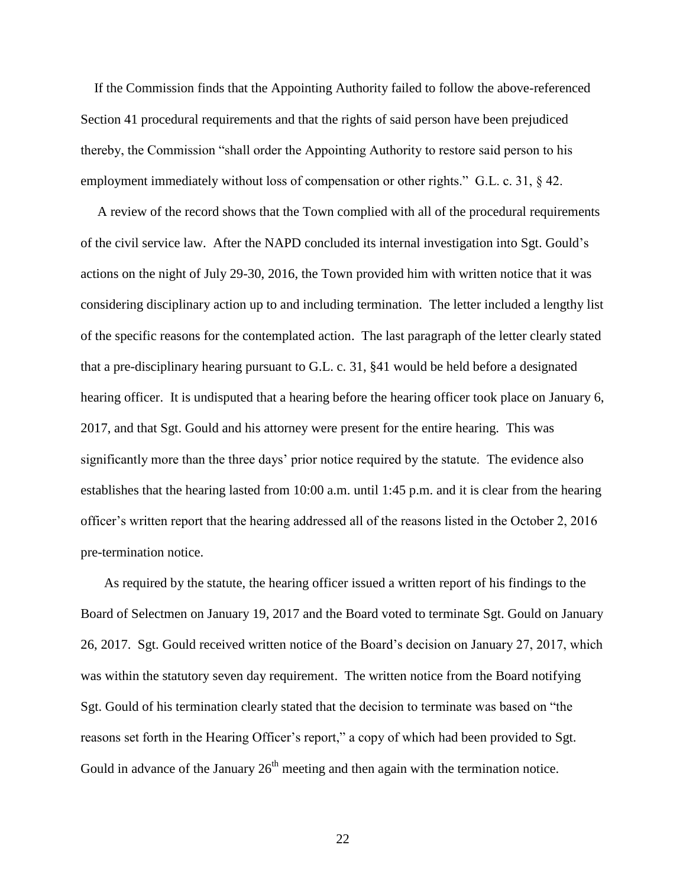If the Commission finds that the Appointing Authority failed to follow the above-referenced Section 41 procedural requirements and that the rights of said person have been prejudiced thereby, the Commission "shall order the Appointing Authority to restore said person to his employment immediately without loss of compensation or other rights." G.L. c. 31,  $\S$  42.

 A review of the record shows that the Town complied with all of the procedural requirements of the civil service law. After the NAPD concluded its internal investigation into Sgt. Gould's actions on the night of July 29-30, 2016, the Town provided him with written notice that it was considering disciplinary action up to and including termination. The letter included a lengthy list of the specific reasons for the contemplated action. The last paragraph of the letter clearly stated that a pre-disciplinary hearing pursuant to G.L. c. 31, §41 would be held before a designated hearing officer. It is undisputed that a hearing before the hearing officer took place on January 6, 2017, and that Sgt. Gould and his attorney were present for the entire hearing. This was significantly more than the three days' prior notice required by the statute. The evidence also establishes that the hearing lasted from 10:00 a.m. until 1:45 p.m. and it is clear from the hearing officer's written report that the hearing addressed all of the reasons listed in the October 2, 2016 pre-termination notice.

 As required by the statute, the hearing officer issued a written report of his findings to the Board of Selectmen on January 19, 2017 and the Board voted to terminate Sgt. Gould on January 26, 2017. Sgt. Gould received written notice of the Board's decision on January 27, 2017, which was within the statutory seven day requirement. The written notice from the Board notifying Sgt. Gould of his termination clearly stated that the decision to terminate was based on "the reasons set forth in the Hearing Officer's report," a copy of which had been provided to Sgt. Gould in advance of the January  $26<sup>th</sup>$  meeting and then again with the termination notice.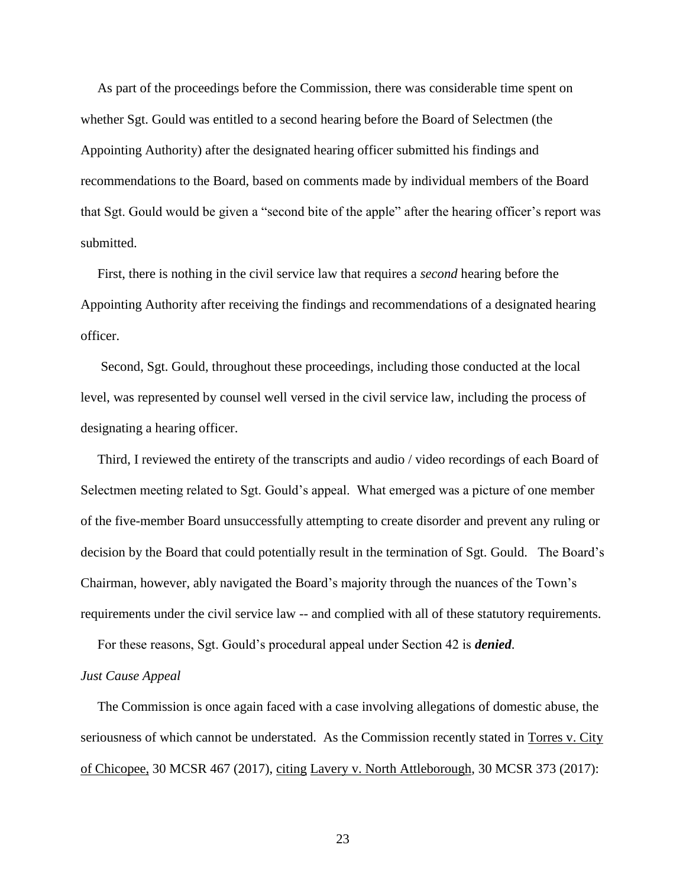As part of the proceedings before the Commission, there was considerable time spent on whether Sgt. Gould was entitled to a second hearing before the Board of Selectmen (the Appointing Authority) after the designated hearing officer submitted his findings and recommendations to the Board, based on comments made by individual members of the Board that Sgt. Gould would be given a "second bite of the apple" after the hearing officer's report was submitted.

 First, there is nothing in the civil service law that requires a *second* hearing before the Appointing Authority after receiving the findings and recommendations of a designated hearing officer.

 Second, Sgt. Gould, throughout these proceedings, including those conducted at the local level, was represented by counsel well versed in the civil service law, including the process of designating a hearing officer.

 Third, I reviewed the entirety of the transcripts and audio / video recordings of each Board of Selectmen meeting related to Sgt. Gould's appeal. What emerged was a picture of one member of the five-member Board unsuccessfully attempting to create disorder and prevent any ruling or decision by the Board that could potentially result in the termination of Sgt. Gould. The Board's Chairman, however, ably navigated the Board's majority through the nuances of the Town's requirements under the civil service law -- and complied with all of these statutory requirements.

For these reasons, Sgt. Gould's procedural appeal under Section 42 is *denied*.

### *Just Cause Appeal*

 The Commission is once again faced with a case involving allegations of domestic abuse, the seriousness of which cannot be understated. As the Commission recently stated in Torres v. City of Chicopee, 30 MCSR 467 (2017), citing Lavery v. North Attleborough, 30 MCSR 373 (2017):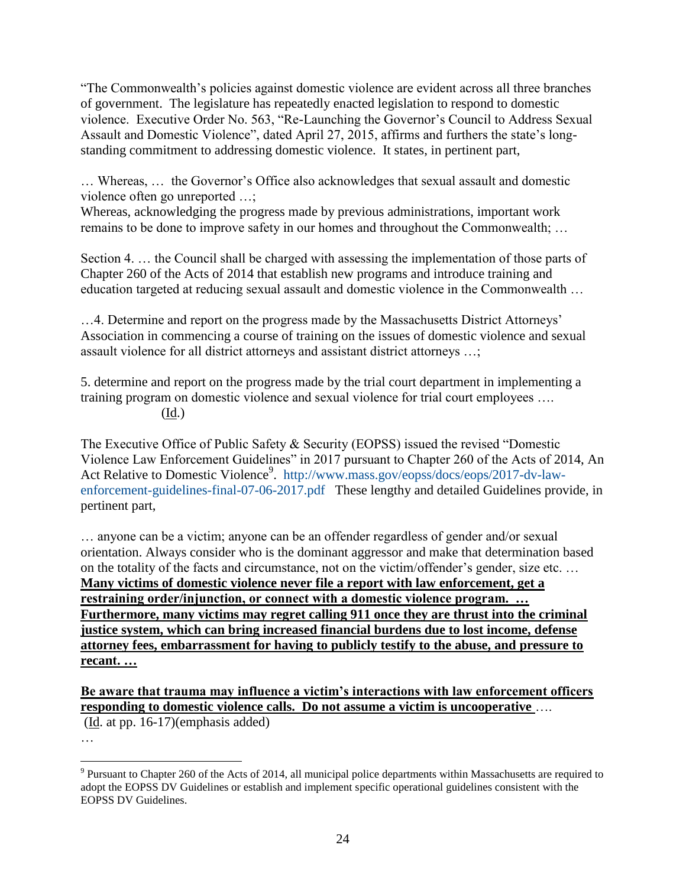"The Commonwealth's policies against domestic violence are evident across all three branches of government. The legislature has repeatedly enacted legislation to respond to domestic violence. Executive Order No. 563, "Re-Launching the Governor's Council to Address Sexual Assault and Domestic Violence", dated April 27, 2015, affirms and furthers the state's longstanding commitment to addressing domestic violence. It states, in pertinent part,

… Whereas, … the Governor's Office also acknowledges that sexual assault and domestic violence often go unreported …;

Whereas, acknowledging the progress made by previous administrations, important work remains to be done to improve safety in our homes and throughout the Commonwealth; …

Section 4. … the Council shall be charged with assessing the implementation of those parts of Chapter 260 of the Acts of 2014 that establish new programs and introduce training and education targeted at reducing sexual assault and domestic violence in the Commonwealth …

…4. Determine and report on the progress made by the Massachusetts District Attorneys' Association in commencing a course of training on the issues of domestic violence and sexual assault violence for all district attorneys and assistant district attorneys …;

5. determine and report on the progress made by the trial court department in implementing a training program on domestic violence and sexual violence for trial court employees …. (Id.)

The Executive Office of Public Safety & Security (EOPSS) issued the revised "Domestic Violence Law Enforcement Guidelines" in 2017 pursuant to Chapter 260 of the Acts of 2014, An Act Relative to Domestic Violence<sup>9</sup>. [http://www.mass.gov/eopss/docs/eops/2017-dv-law](http://www.mass.gov/eopss/docs/eops/2017-dv-law-enforcement-guidelines-final-07-06-2017.pdf)[enforcement-guidelines-final-07-06-2017.pdf](http://www.mass.gov/eopss/docs/eops/2017-dv-law-enforcement-guidelines-final-07-06-2017.pdf) These lengthy and detailed Guidelines provide, in pertinent part,

… anyone can be a victim; anyone can be an offender regardless of gender and/or sexual orientation. Always consider who is the dominant aggressor and make that determination based on the totality of the facts and circumstance, not on the victim/offender's gender, size etc. … **Many victims of domestic violence never file a report with law enforcement, get a restraining order/injunction, or connect with a domestic violence program. … Furthermore, many victims may regret calling 911 once they are thrust into the criminal justice system, which can bring increased financial burdens due to lost income, defense attorney fees, embarrassment for having to publicly testify to the abuse, and pressure to recant. …**

**Be aware that trauma may influence a victim's interactions with law enforcement officers responding to domestic violence calls. Do not assume a victim is uncooperative** ….

(Id. at pp. 16-17)(emphasis added)

…

 $9$  Pursuant to Chapter 260 of the Acts of 2014, all municipal police departments within Massachusetts are required to adopt the EOPSS DV Guidelines or establish and implement specific operational guidelines consistent with the EOPSS DV Guidelines.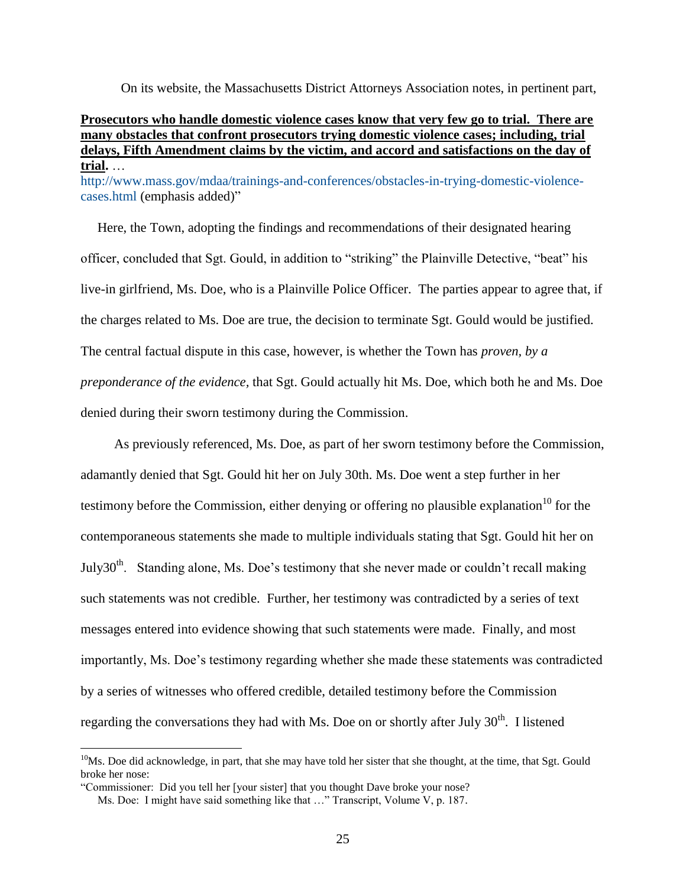On its website, the Massachusetts District Attorneys Association notes, in pertinent part,

## **Prosecutors who handle domestic violence cases know that very few go to trial. There are many obstacles that confront prosecutors trying domestic violence cases; including, trial delays, Fifth Amendment claims by the victim, and accord and satisfactions on the day of trial.** … [http://www.mass.gov/mdaa/trainings-and-conferences/obstacles-in-trying-domestic-violence](http://www.mass.gov/mdaa/trainings-and-conferences/obstacles-in-trying-domestic-violence-cases.html)[cases.html](http://www.mass.gov/mdaa/trainings-and-conferences/obstacles-in-trying-domestic-violence-cases.html) (emphasis added)"

 Here, the Town, adopting the findings and recommendations of their designated hearing officer, concluded that Sgt. Gould, in addition to "striking" the Plainville Detective, "beat" his live-in girlfriend, Ms. Doe, who is a Plainville Police Officer. The parties appear to agree that, if the charges related to Ms. Doe are true, the decision to terminate Sgt. Gould would be justified. The central factual dispute in this case, however, is whether the Town has *proven, by a preponderance of the evidence,* that Sgt. Gould actually hit Ms. Doe, which both he and Ms. Doe denied during their sworn testimony during the Commission.

 As previously referenced, Ms. Doe, as part of her sworn testimony before the Commission, adamantly denied that Sgt. Gould hit her on July 30th. Ms. Doe went a step further in her testimony before the Commission, either denying or offering no plausible explanation<sup>10</sup> for the contemporaneous statements she made to multiple individuals stating that Sgt. Gould hit her on July30<sup>th</sup>. Standing alone, Ms. Doe's testimony that she never made or couldn't recall making such statements was not credible. Further, her testimony was contradicted by a series of text messages entered into evidence showing that such statements were made. Finally, and most importantly, Ms. Doe's testimony regarding whether she made these statements was contradicted by a series of witnesses who offered credible, detailed testimony before the Commission regarding the conversations they had with Ms. Doe on or shortly after July  $30<sup>th</sup>$ . I listened

<sup>&</sup>lt;sup>10</sup>Ms. Doe did acknowledge, in part, that she may have told her sister that she thought, at the time, that Sgt. Gould broke her nose:

<sup>&</sup>quot;Commissioner: Did you tell her [your sister] that you thought Dave broke your nose?

Ms. Doe: I might have said something like that …" Transcript, Volume V, p. 187.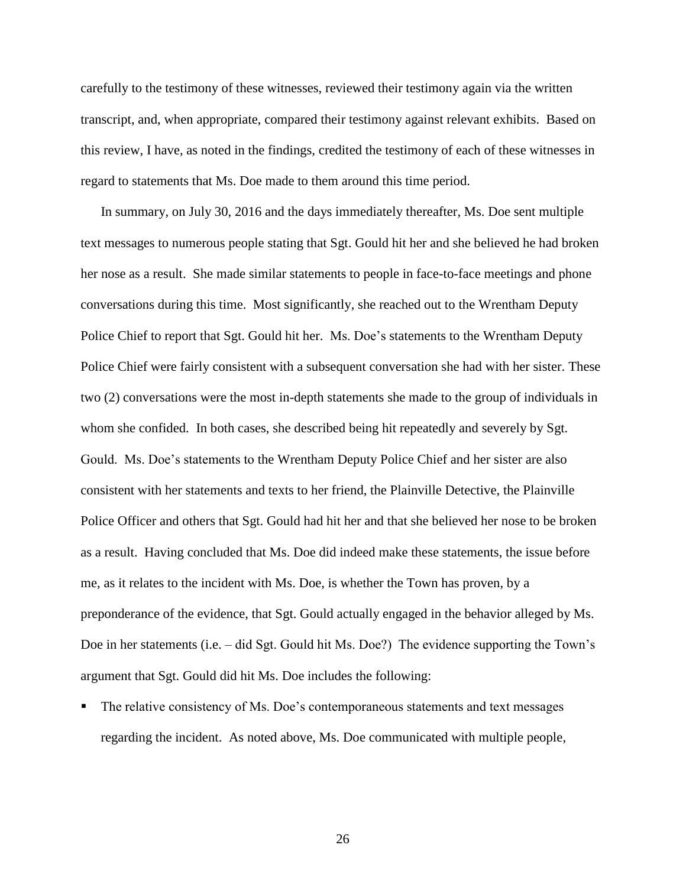carefully to the testimony of these witnesses, reviewed their testimony again via the written transcript, and, when appropriate, compared their testimony against relevant exhibits. Based on this review, I have, as noted in the findings, credited the testimony of each of these witnesses in regard to statements that Ms. Doe made to them around this time period.

 In summary, on July 30, 2016 and the days immediately thereafter, Ms. Doe sent multiple text messages to numerous people stating that Sgt. Gould hit her and she believed he had broken her nose as a result. She made similar statements to people in face-to-face meetings and phone conversations during this time. Most significantly, she reached out to the Wrentham Deputy Police Chief to report that Sgt. Gould hit her. Ms. Doe's statements to the Wrentham Deputy Police Chief were fairly consistent with a subsequent conversation she had with her sister. These two (2) conversations were the most in-depth statements she made to the group of individuals in whom she confided. In both cases, she described being hit repeatedly and severely by Sgt. Gould. Ms. Doe's statements to the Wrentham Deputy Police Chief and her sister are also consistent with her statements and texts to her friend, the Plainville Detective, the Plainville Police Officer and others that Sgt. Gould had hit her and that she believed her nose to be broken as a result. Having concluded that Ms. Doe did indeed make these statements, the issue before me, as it relates to the incident with Ms. Doe, is whether the Town has proven, by a preponderance of the evidence, that Sgt. Gould actually engaged in the behavior alleged by Ms. Doe in her statements (i.e. – did Sgt. Gould hit Ms. Doe?) The evidence supporting the Town's argument that Sgt. Gould did hit Ms. Doe includes the following:

 The relative consistency of Ms. Doe's contemporaneous statements and text messages regarding the incident. As noted above, Ms. Doe communicated with multiple people,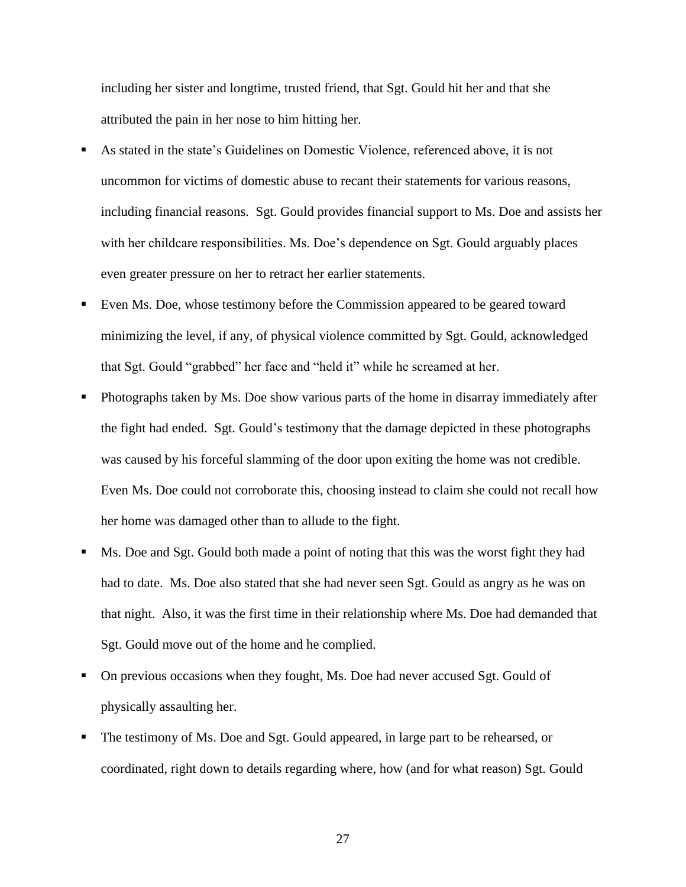including her sister and longtime, trusted friend, that Sgt. Gould hit her and that she attributed the pain in her nose to him hitting her.

- As stated in the state's Guidelines on Domestic Violence, referenced above, it is not uncommon for victims of domestic abuse to recant their statements for various reasons, including financial reasons. Sgt. Gould provides financial support to Ms. Doe and assists her with her childcare responsibilities. Ms. Doe's dependence on Sgt. Gould arguably places even greater pressure on her to retract her earlier statements.
- Even Ms. Doe, whose testimony before the Commission appeared to be geared toward minimizing the level, if any, of physical violence committed by Sgt. Gould, acknowledged that Sgt. Gould "grabbed" her face and "held it" while he screamed at her.
- Photographs taken by Ms. Doe show various parts of the home in disarray immediately after the fight had ended. Sgt. Gould's testimony that the damage depicted in these photographs was caused by his forceful slamming of the door upon exiting the home was not credible. Even Ms. Doe could not corroborate this, choosing instead to claim she could not recall how her home was damaged other than to allude to the fight.
- Ms. Doe and Sgt. Gould both made a point of noting that this was the worst fight they had had to date. Ms. Doe also stated that she had never seen Sgt. Gould as angry as he was on that night. Also, it was the first time in their relationship where Ms. Doe had demanded that Sgt. Gould move out of the home and he complied.
- On previous occasions when they fought, Ms. Doe had never accused Sgt. Gould of physically assaulting her.
- The testimony of Ms. Doe and Sgt. Gould appeared, in large part to be rehearsed, or coordinated, right down to details regarding where, how (and for what reason) Sgt. Gould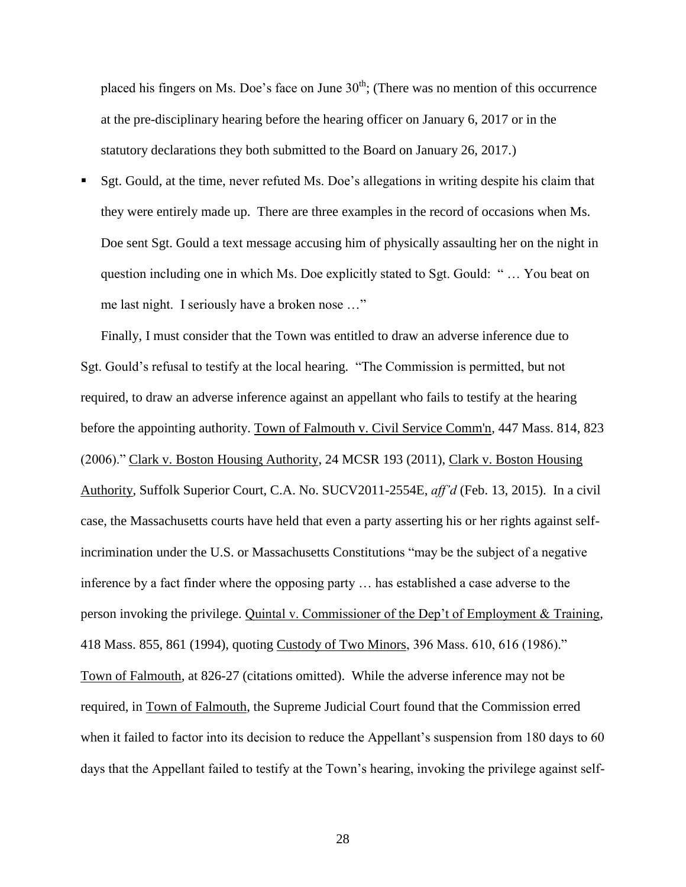placed his fingers on Ms. Doe's face on June  $30<sup>th</sup>$ ; (There was no mention of this occurrence at the pre-disciplinary hearing before the hearing officer on January 6, 2017 or in the statutory declarations they both submitted to the Board on January 26, 2017.)

 Sgt. Gould, at the time, never refuted Ms. Doe's allegations in writing despite his claim that they were entirely made up. There are three examples in the record of occasions when Ms. Doe sent Sgt. Gould a text message accusing him of physically assaulting her on the night in question including one in which Ms. Doe explicitly stated to Sgt. Gould: " … You beat on me last night. I seriously have a broken nose …"

Finally, I must consider that the Town was entitled to draw an adverse inference due to Sgt. Gould's refusal to testify at the local hearing. "The Commission is permitted, but not required, to draw an adverse inference against an appellant who fails to testify at the hearing before the appointing authority. Town of Falmouth v. Civil Service Comm'n, 447 Mass. 814, 823 (2006)." Clark v. Boston Housing Authority, 24 MCSR 193 (2011), Clark v. Boston Housing Authority, Suffolk Superior Court, C.A. No. SUCV2011-2554E, *aff'd* (Feb. 13, 2015). In a civil case, the Massachusetts courts have held that even a party asserting his or her rights against selfincrimination under the U.S. or Massachusetts Constitutions "may be the subject of a negative inference by a fact finder where the opposing party … has established a case adverse to the person invoking the privilege. Quintal v. Commissioner of the Dep't of Employment & Training, 418 Mass. 855, 861 (1994), quoting Custody of Two Minors, 396 Mass. 610, 616 (1986)." Town of Falmouth, at 826-27 (citations omitted). While the adverse inference may not be required, in Town of Falmouth, the Supreme Judicial Court found that the Commission erred when it failed to factor into its decision to reduce the Appellant's suspension from 180 days to 60 days that the Appellant failed to testify at the Town's hearing, invoking the privilege against self-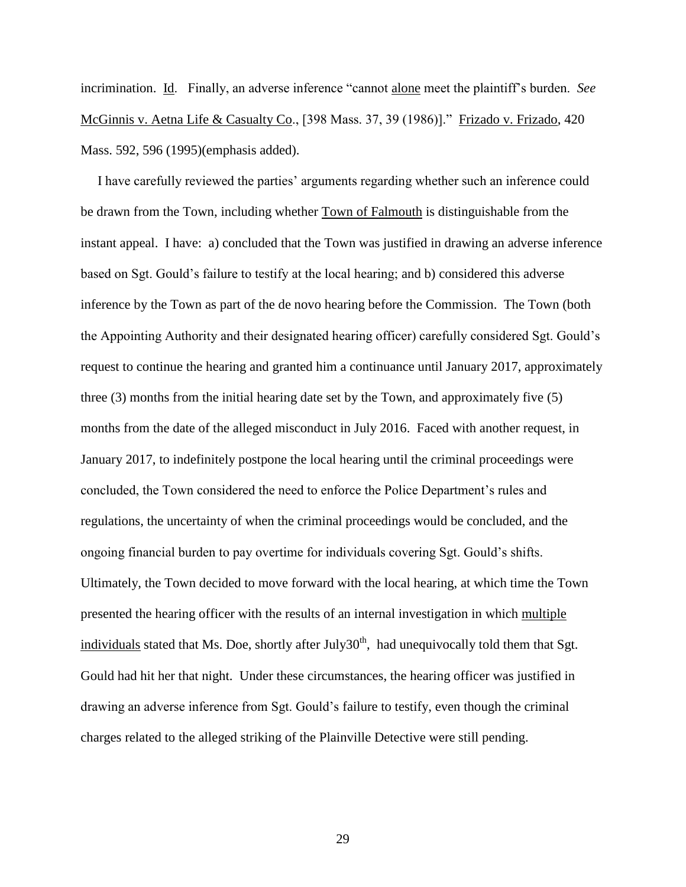incrimination. Id. Finally, an adverse inference "cannot alone meet the plaintiff's burden. *See* McGinnis v. Aetna Life & Casualty Co., [398 Mass. 37, 39 (1986)]." Frizado v. Frizado, 420 Mass. 592, 596 (1995)(emphasis added).

 I have carefully reviewed the parties' arguments regarding whether such an inference could be drawn from the Town, including whether Town of Falmouth is distinguishable from the instant appeal. I have: a) concluded that the Town was justified in drawing an adverse inference based on Sgt. Gould's failure to testify at the local hearing; and b) considered this adverse inference by the Town as part of the de novo hearing before the Commission. The Town (both the Appointing Authority and their designated hearing officer) carefully considered Sgt. Gould's request to continue the hearing and granted him a continuance until January 2017, approximately three (3) months from the initial hearing date set by the Town, and approximately five (5) months from the date of the alleged misconduct in July 2016. Faced with another request, in January 2017, to indefinitely postpone the local hearing until the criminal proceedings were concluded, the Town considered the need to enforce the Police Department's rules and regulations, the uncertainty of when the criminal proceedings would be concluded, and the ongoing financial burden to pay overtime for individuals covering Sgt. Gould's shifts. Ultimately, the Town decided to move forward with the local hearing, at which time the Town presented the hearing officer with the results of an internal investigation in which multiple individuals stated that Ms. Doe, shortly after July30<sup>th</sup>, had unequivocally told them that Sgt. Gould had hit her that night. Under these circumstances, the hearing officer was justified in drawing an adverse inference from Sgt. Gould's failure to testify, even though the criminal charges related to the alleged striking of the Plainville Detective were still pending.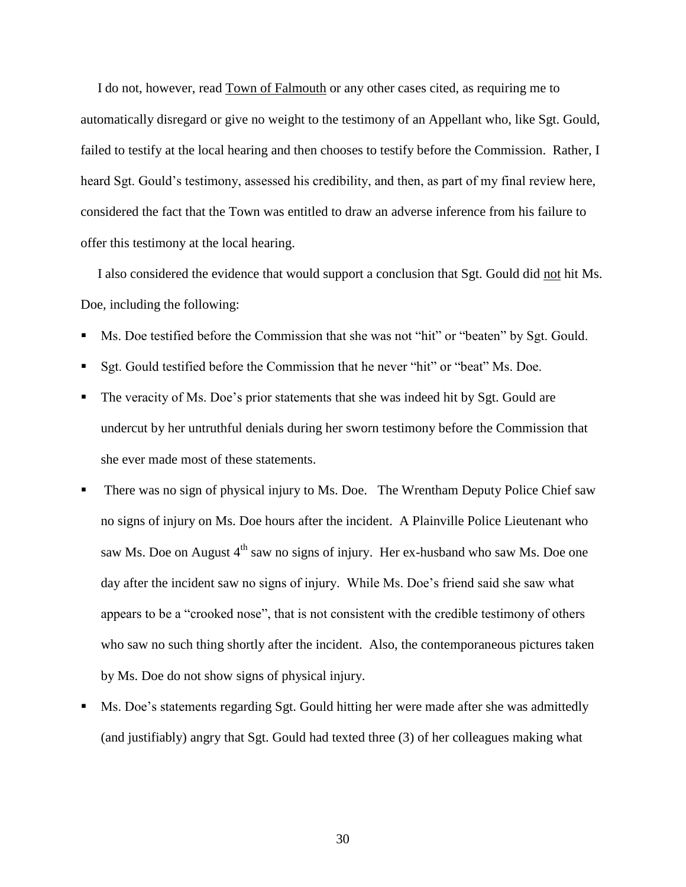I do not, however, read Town of Falmouth or any other cases cited, as requiring me to automatically disregard or give no weight to the testimony of an Appellant who, like Sgt. Gould, failed to testify at the local hearing and then chooses to testify before the Commission. Rather, I heard Sgt. Gould's testimony, assessed his credibility, and then, as part of my final review here, considered the fact that the Town was entitled to draw an adverse inference from his failure to offer this testimony at the local hearing.

 I also considered the evidence that would support a conclusion that Sgt. Gould did not hit Ms. Doe, including the following:

- Ms. Doe testified before the Commission that she was not "hit" or "beaten" by Sgt. Gould.
- Sgt. Gould testified before the Commission that he never "hit" or "beat" Ms. Doe.
- The veracity of Ms. Doe's prior statements that she was indeed hit by Sgt. Gould are undercut by her untruthful denials during her sworn testimony before the Commission that she ever made most of these statements.
- There was no sign of physical injury to Ms. Doe. The Wrentham Deputy Police Chief saw no signs of injury on Ms. Doe hours after the incident. A Plainville Police Lieutenant who saw Ms. Doe on August 4<sup>th</sup> saw no signs of injury. Her ex-husband who saw Ms. Doe one day after the incident saw no signs of injury. While Ms. Doe's friend said she saw what appears to be a "crooked nose", that is not consistent with the credible testimony of others who saw no such thing shortly after the incident. Also, the contemporaneous pictures taken by Ms. Doe do not show signs of physical injury.
- Ms. Doe's statements regarding Sgt. Gould hitting her were made after she was admittedly (and justifiably) angry that Sgt. Gould had texted three (3) of her colleagues making what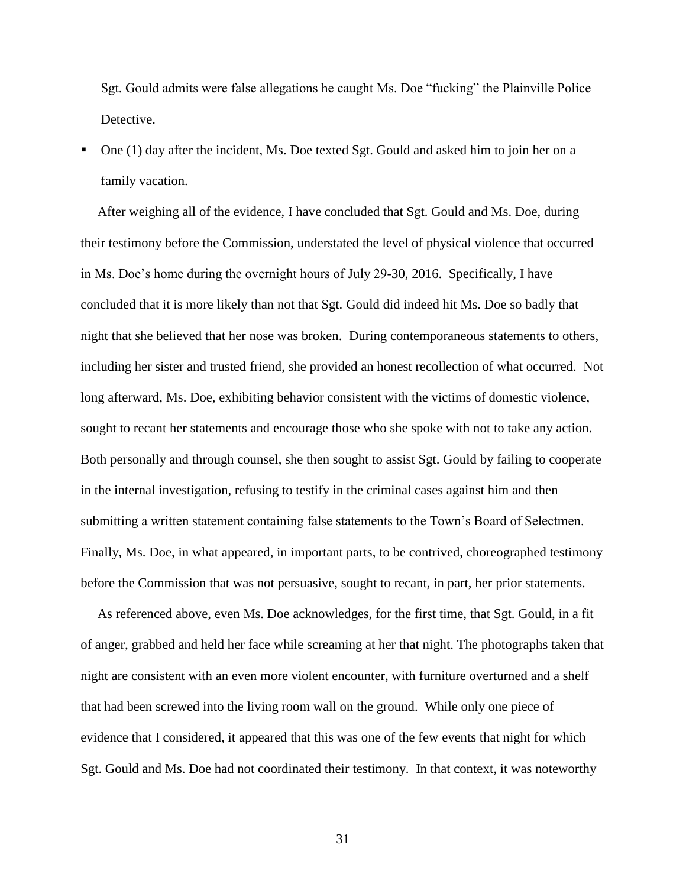Sgt. Gould admits were false allegations he caught Ms. Doe "fucking" the Plainville Police Detective.

 One (1) day after the incident, Ms. Doe texted Sgt. Gould and asked him to join her on a family vacation.

 After weighing all of the evidence, I have concluded that Sgt. Gould and Ms. Doe, during their testimony before the Commission, understated the level of physical violence that occurred in Ms. Doe's home during the overnight hours of July 29-30, 2016. Specifically, I have concluded that it is more likely than not that Sgt. Gould did indeed hit Ms. Doe so badly that night that she believed that her nose was broken. During contemporaneous statements to others, including her sister and trusted friend, she provided an honest recollection of what occurred. Not long afterward, Ms. Doe, exhibiting behavior consistent with the victims of domestic violence, sought to recant her statements and encourage those who she spoke with not to take any action. Both personally and through counsel, she then sought to assist Sgt. Gould by failing to cooperate in the internal investigation, refusing to testify in the criminal cases against him and then submitting a written statement containing false statements to the Town's Board of Selectmen. Finally, Ms. Doe, in what appeared, in important parts, to be contrived, choreographed testimony before the Commission that was not persuasive, sought to recant, in part, her prior statements.

 As referenced above, even Ms. Doe acknowledges, for the first time, that Sgt. Gould, in a fit of anger, grabbed and held her face while screaming at her that night. The photographs taken that night are consistent with an even more violent encounter, with furniture overturned and a shelf that had been screwed into the living room wall on the ground. While only one piece of evidence that I considered, it appeared that this was one of the few events that night for which Sgt. Gould and Ms. Doe had not coordinated their testimony. In that context, it was noteworthy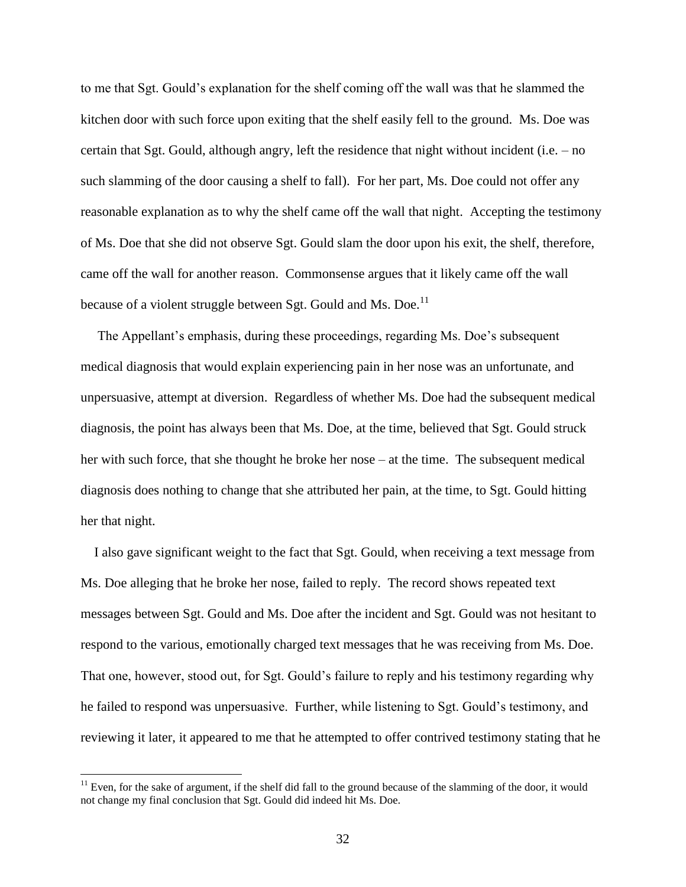to me that Sgt. Gould's explanation for the shelf coming off the wall was that he slammed the kitchen door with such force upon exiting that the shelf easily fell to the ground. Ms. Doe was certain that Sgt. Gould, although angry, left the residence that night without incident (i.e. – no such slamming of the door causing a shelf to fall). For her part, Ms. Doe could not offer any reasonable explanation as to why the shelf came off the wall that night. Accepting the testimony of Ms. Doe that she did not observe Sgt. Gould slam the door upon his exit, the shelf, therefore, came off the wall for another reason. Commonsense argues that it likely came off the wall because of a violent struggle between Sgt. Gould and Ms. Doe.<sup>11</sup>

 The Appellant's emphasis, during these proceedings, regarding Ms. Doe's subsequent medical diagnosis that would explain experiencing pain in her nose was an unfortunate, and unpersuasive, attempt at diversion. Regardless of whether Ms. Doe had the subsequent medical diagnosis, the point has always been that Ms. Doe, at the time, believed that Sgt. Gould struck her with such force, that she thought he broke her nose – at the time. The subsequent medical diagnosis does nothing to change that she attributed her pain, at the time, to Sgt. Gould hitting her that night.

 I also gave significant weight to the fact that Sgt. Gould, when receiving a text message from Ms. Doe alleging that he broke her nose, failed to reply. The record shows repeated text messages between Sgt. Gould and Ms. Doe after the incident and Sgt. Gould was not hesitant to respond to the various, emotionally charged text messages that he was receiving from Ms. Doe. That one, however, stood out, for Sgt. Gould's failure to reply and his testimony regarding why he failed to respond was unpersuasive. Further, while listening to Sgt. Gould's testimony, and reviewing it later, it appeared to me that he attempted to offer contrived testimony stating that he

 $11$  Even, for the sake of argument, if the shelf did fall to the ground because of the slamming of the door, it would not change my final conclusion that Sgt. Gould did indeed hit Ms. Doe.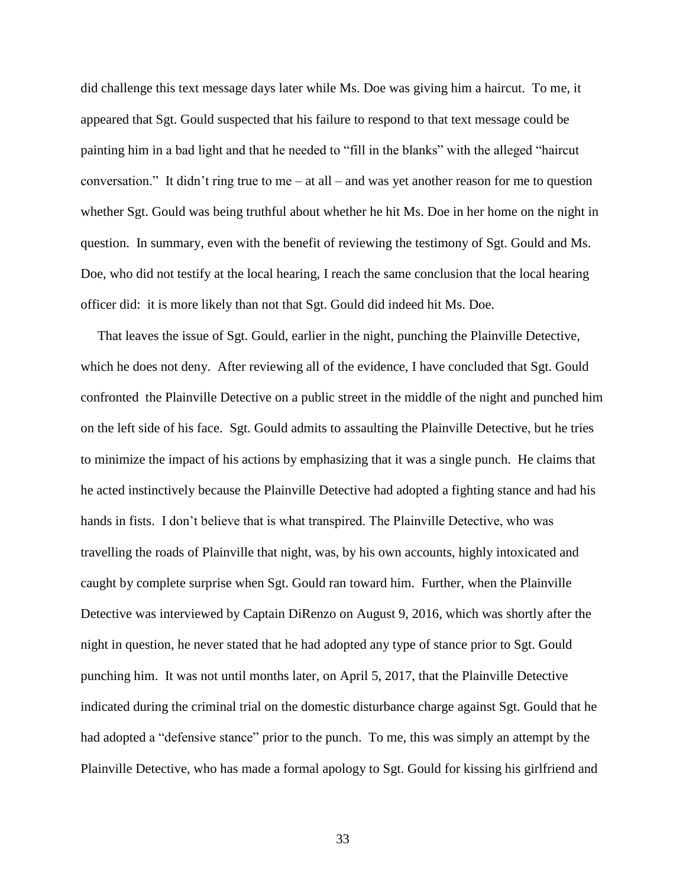did challenge this text message days later while Ms. Doe was giving him a haircut. To me, it appeared that Sgt. Gould suspected that his failure to respond to that text message could be painting him in a bad light and that he needed to "fill in the blanks" with the alleged "haircut conversation." It didn't ring true to me – at all – and was yet another reason for me to question whether Sgt. Gould was being truthful about whether he hit Ms. Doe in her home on the night in question. In summary, even with the benefit of reviewing the testimony of Sgt. Gould and Ms. Doe, who did not testify at the local hearing, I reach the same conclusion that the local hearing officer did: it is more likely than not that Sgt. Gould did indeed hit Ms. Doe.

 That leaves the issue of Sgt. Gould, earlier in the night, punching the Plainville Detective, which he does not deny. After reviewing all of the evidence, I have concluded that Sgt. Gould confronted the Plainville Detective on a public street in the middle of the night and punched him on the left side of his face. Sgt. Gould admits to assaulting the Plainville Detective, but he tries to minimize the impact of his actions by emphasizing that it was a single punch. He claims that he acted instinctively because the Plainville Detective had adopted a fighting stance and had his hands in fists. I don't believe that is what transpired. The Plainville Detective, who was travelling the roads of Plainville that night, was, by his own accounts, highly intoxicated and caught by complete surprise when Sgt. Gould ran toward him. Further, when the Plainville Detective was interviewed by Captain DiRenzo on August 9, 2016, which was shortly after the night in question, he never stated that he had adopted any type of stance prior to Sgt. Gould punching him. It was not until months later, on April 5, 2017, that the Plainville Detective indicated during the criminal trial on the domestic disturbance charge against Sgt. Gould that he had adopted a "defensive stance" prior to the punch. To me, this was simply an attempt by the Plainville Detective, who has made a formal apology to Sgt. Gould for kissing his girlfriend and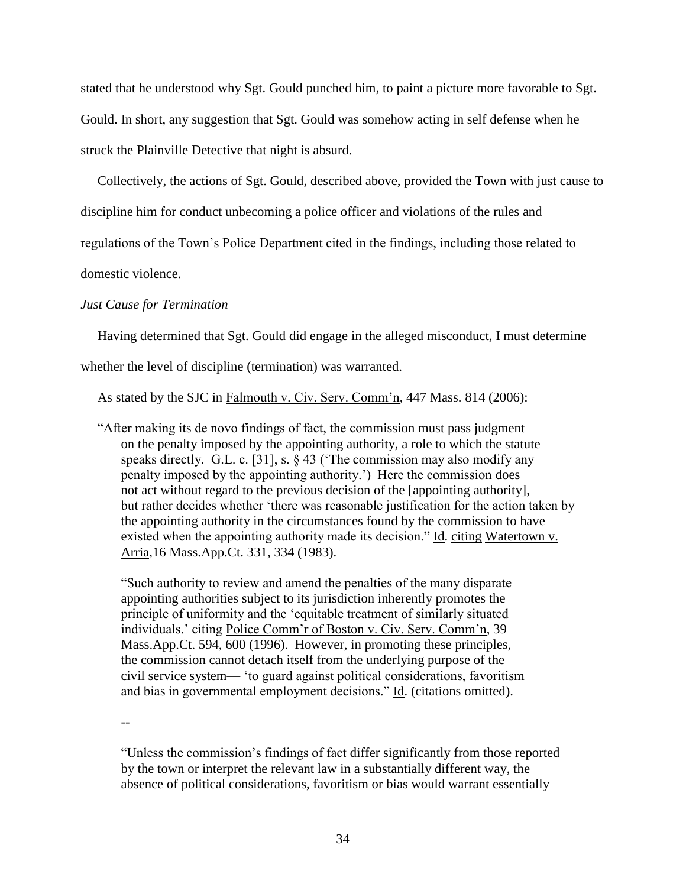stated that he understood why Sgt. Gould punched him, to paint a picture more favorable to Sgt.

Gould. In short, any suggestion that Sgt. Gould was somehow acting in self defense when he

struck the Plainville Detective that night is absurd.

Collectively, the actions of Sgt. Gould, described above, provided the Town with just cause to

discipline him for conduct unbecoming a police officer and violations of the rules and

regulations of the Town's Police Department cited in the findings, including those related to

domestic violence.

# *Just Cause for Termination*

Having determined that Sgt. Gould did engage in the alleged misconduct, I must determine

whether the level of discipline (termination) was warranted.

As stated by the SJC in Falmouth v. Civ. Serv. Comm'n, 447 Mass. 814 (2006):

 "After making its de novo findings of fact, the commission must pass judgment on the penalty imposed by the appointing authority, a role to which the statute speaks directly. G.L. c. [31], s. § 43 ('The commission may also modify any penalty imposed by the appointing authority.') Here the commission does not act without regard to the previous decision of the [appointing authority], but rather decides whether 'there was reasonable justification for the action taken by the appointing authority in the circumstances found by the commission to have existed when the appointing authority made its decision." Id. citing Watertown v. Arria,16 Mass.App.Ct. 331, 334 (1983).

"Such authority to review and amend the penalties of the many disparate appointing authorities subject to its jurisdiction inherently promotes the principle of uniformity and the 'equitable treatment of similarly situated individuals.' citing Police Comm'r of Boston v. Civ. Serv. Comm'n, 39 Mass.App.Ct. 594, 600 (1996). However, in promoting these principles, the commission cannot detach itself from the underlying purpose of the civil service system— 'to guard against political considerations, favoritism and bias in governmental employment decisions." Id. (citations omitted).

--

"Unless the commission's findings of fact differ significantly from those reported by the town or interpret the relevant law in a substantially different way, the absence of political considerations, favoritism or bias would warrant essentially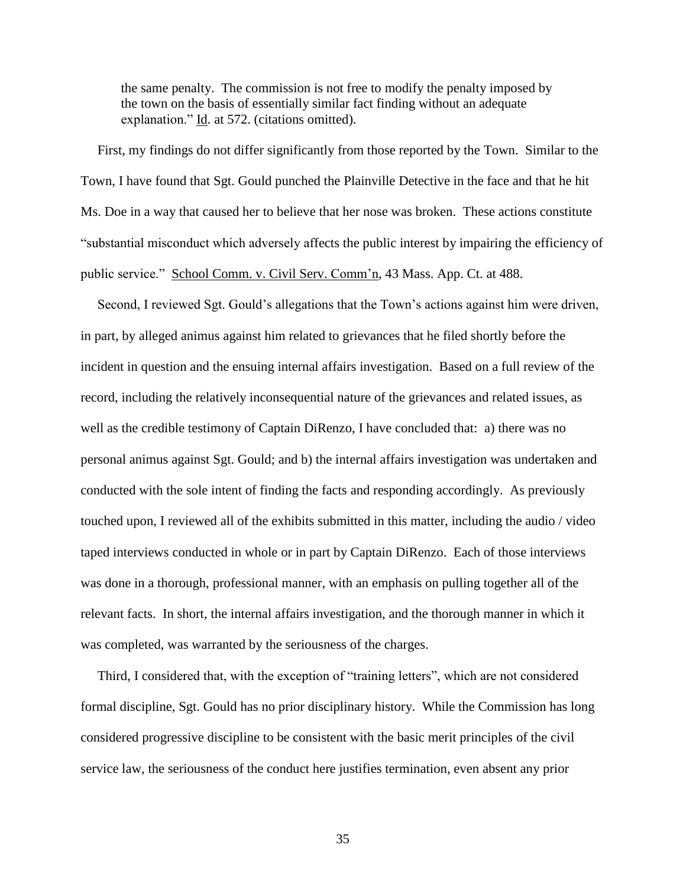the same penalty. The commission is not free to modify the penalty imposed by the town on the basis of essentially similar fact finding without an adequate explanation." Id. at 572. (citations omitted).

 First, my findings do not differ significantly from those reported by the Town. Similar to the Town, I have found that Sgt. Gould punched the Plainville Detective in the face and that he hit Ms. Doe in a way that caused her to believe that her nose was broken. These actions constitute "substantial misconduct which adversely affects the public interest by impairing the efficiency of public service." School Comm. v. Civil Serv. Comm'n, 43 Mass. App. Ct. at 488.

 Second, I reviewed Sgt. Gould's allegations that the Town's actions against him were driven, in part, by alleged animus against him related to grievances that he filed shortly before the incident in question and the ensuing internal affairs investigation. Based on a full review of the record, including the relatively inconsequential nature of the grievances and related issues, as well as the credible testimony of Captain DiRenzo, I have concluded that: a) there was no personal animus against Sgt. Gould; and b) the internal affairs investigation was undertaken and conducted with the sole intent of finding the facts and responding accordingly. As previously touched upon, I reviewed all of the exhibits submitted in this matter, including the audio / video taped interviews conducted in whole or in part by Captain DiRenzo. Each of those interviews was done in a thorough, professional manner, with an emphasis on pulling together all of the relevant facts. In short, the internal affairs investigation, and the thorough manner in which it was completed, was warranted by the seriousness of the charges.

 Third, I considered that, with the exception of "training letters", which are not considered formal discipline, Sgt. Gould has no prior disciplinary history. While the Commission has long considered progressive discipline to be consistent with the basic merit principles of the civil service law, the seriousness of the conduct here justifies termination, even absent any prior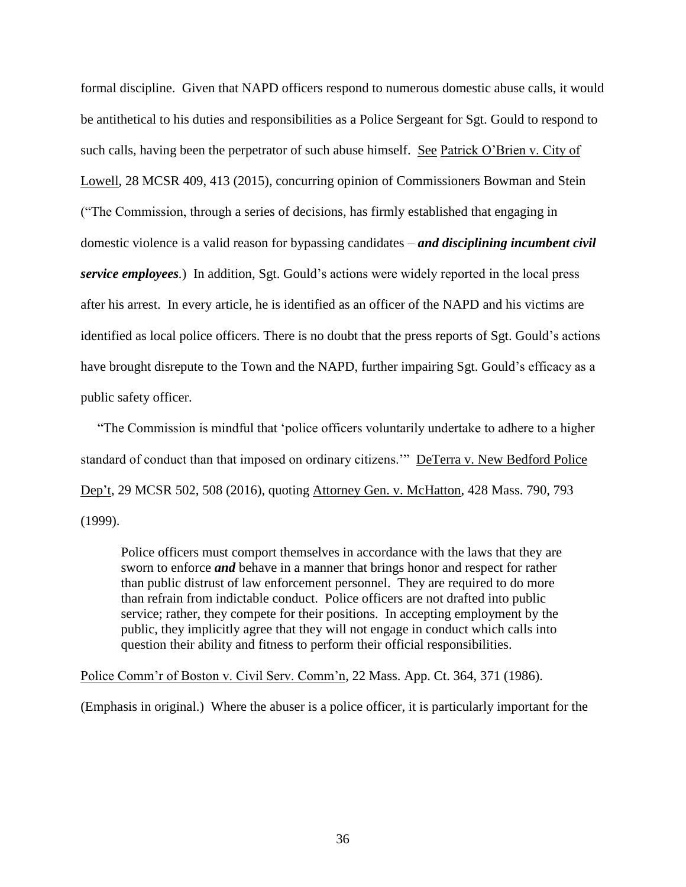formal discipline. Given that NAPD officers respond to numerous domestic abuse calls, it would be antithetical to his duties and responsibilities as a Police Sergeant for Sgt. Gould to respond to such calls, having been the perpetrator of such abuse himself. See Patrick O'Brien v. City of Lowell, 28 MCSR 409, 413 (2015), concurring opinion of Commissioners Bowman and Stein ("The Commission, through a series of decisions, has firmly established that engaging in domestic violence is a valid reason for bypassing candidates – *and disciplining incumbent civil service employees.*) In addition, Sgt. Gould's actions were widely reported in the local press after his arrest. In every article, he is identified as an officer of the NAPD and his victims are identified as local police officers. There is no doubt that the press reports of Sgt. Gould's actions have brought disrepute to the Town and the NAPD, further impairing Sgt. Gould's efficacy as a public safety officer.

 "The Commission is mindful that 'police officers voluntarily undertake to adhere to a higher standard of conduct than that imposed on ordinary citizens.'" DeTerra v. New Bedford Police Dep't, 29 MCSR 502, 508 (2016), quoting Attorney Gen. v. McHatton, 428 Mass. 790, 793 (1999).

Police officers must comport themselves in accordance with the laws that they are sworn to enforce *and* behave in a manner that brings honor and respect for rather than public distrust of law enforcement personnel. They are required to do more than refrain from indictable conduct. Police officers are not drafted into public service; rather, they compete for their positions. In accepting employment by the public, they implicitly agree that they will not engage in conduct which calls into question their ability and fitness to perform their official responsibilities.

Police Comm'r of Boston v. Civil Serv. Comm'n, 22 Mass. App. Ct. 364, 371 (1986).

(Emphasis in original.) Where the abuser is a police officer, it is particularly important for the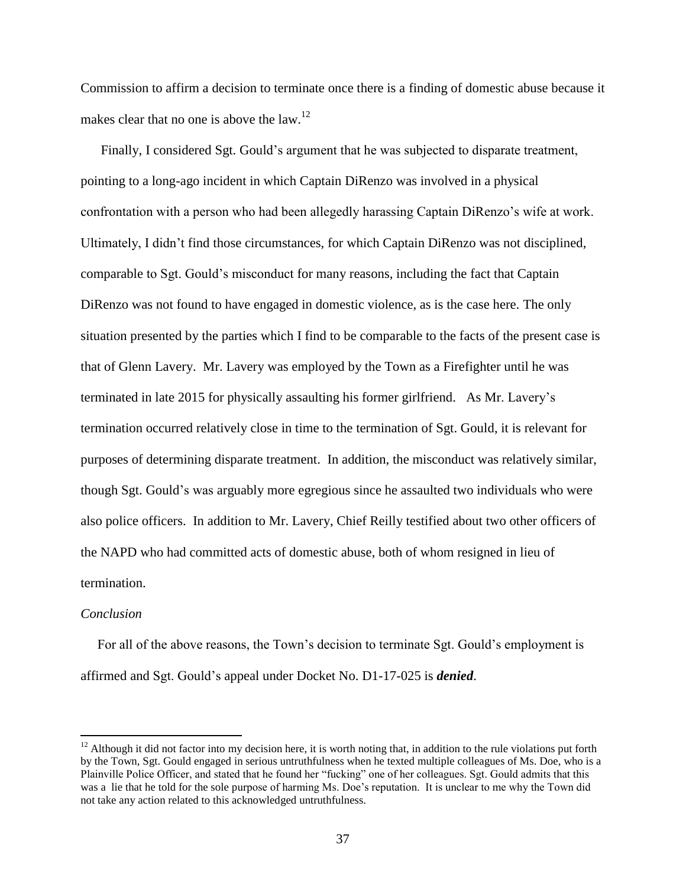Commission to affirm a decision to terminate once there is a finding of domestic abuse because it makes clear that no one is above the law.<sup>12</sup>

 Finally, I considered Sgt. Gould's argument that he was subjected to disparate treatment, pointing to a long-ago incident in which Captain DiRenzo was involved in a physical confrontation with a person who had been allegedly harassing Captain DiRenzo's wife at work. Ultimately, I didn't find those circumstances, for which Captain DiRenzo was not disciplined, comparable to Sgt. Gould's misconduct for many reasons, including the fact that Captain DiRenzo was not found to have engaged in domestic violence, as is the case here. The only situation presented by the parties which I find to be comparable to the facts of the present case is that of Glenn Lavery. Mr. Lavery was employed by the Town as a Firefighter until he was terminated in late 2015 for physically assaulting his former girlfriend. As Mr. Lavery's termination occurred relatively close in time to the termination of Sgt. Gould, it is relevant for purposes of determining disparate treatment. In addition, the misconduct was relatively similar, though Sgt. Gould's was arguably more egregious since he assaulted two individuals who were also police officers. In addition to Mr. Lavery, Chief Reilly testified about two other officers of the NAPD who had committed acts of domestic abuse, both of whom resigned in lieu of termination.

#### *Conclusion*

 $\overline{a}$ 

 For all of the above reasons, the Town's decision to terminate Sgt. Gould's employment is affirmed and Sgt. Gould's appeal under Docket No. D1-17-025 is *denied*.

 $12$  Although it did not factor into my decision here, it is worth noting that, in addition to the rule violations put forth by the Town, Sgt. Gould engaged in serious untruthfulness when he texted multiple colleagues of Ms. Doe, who is a Plainville Police Officer, and stated that he found her "fucking" one of her colleagues. Sgt. Gould admits that this was a lie that he told for the sole purpose of harming Ms. Doe's reputation. It is unclear to me why the Town did not take any action related to this acknowledged untruthfulness.